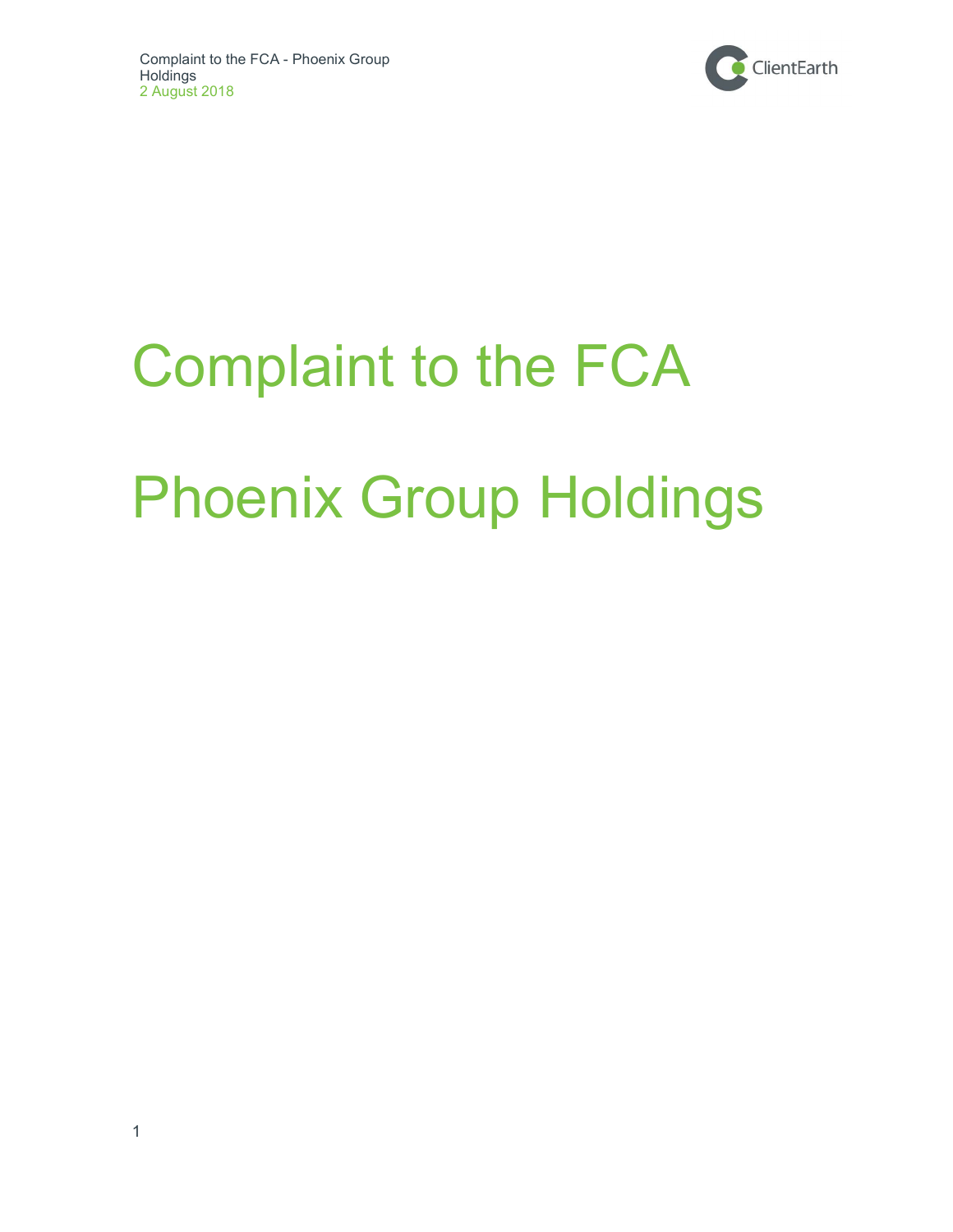

# Complaint to the FCA Phoenix Group Holdings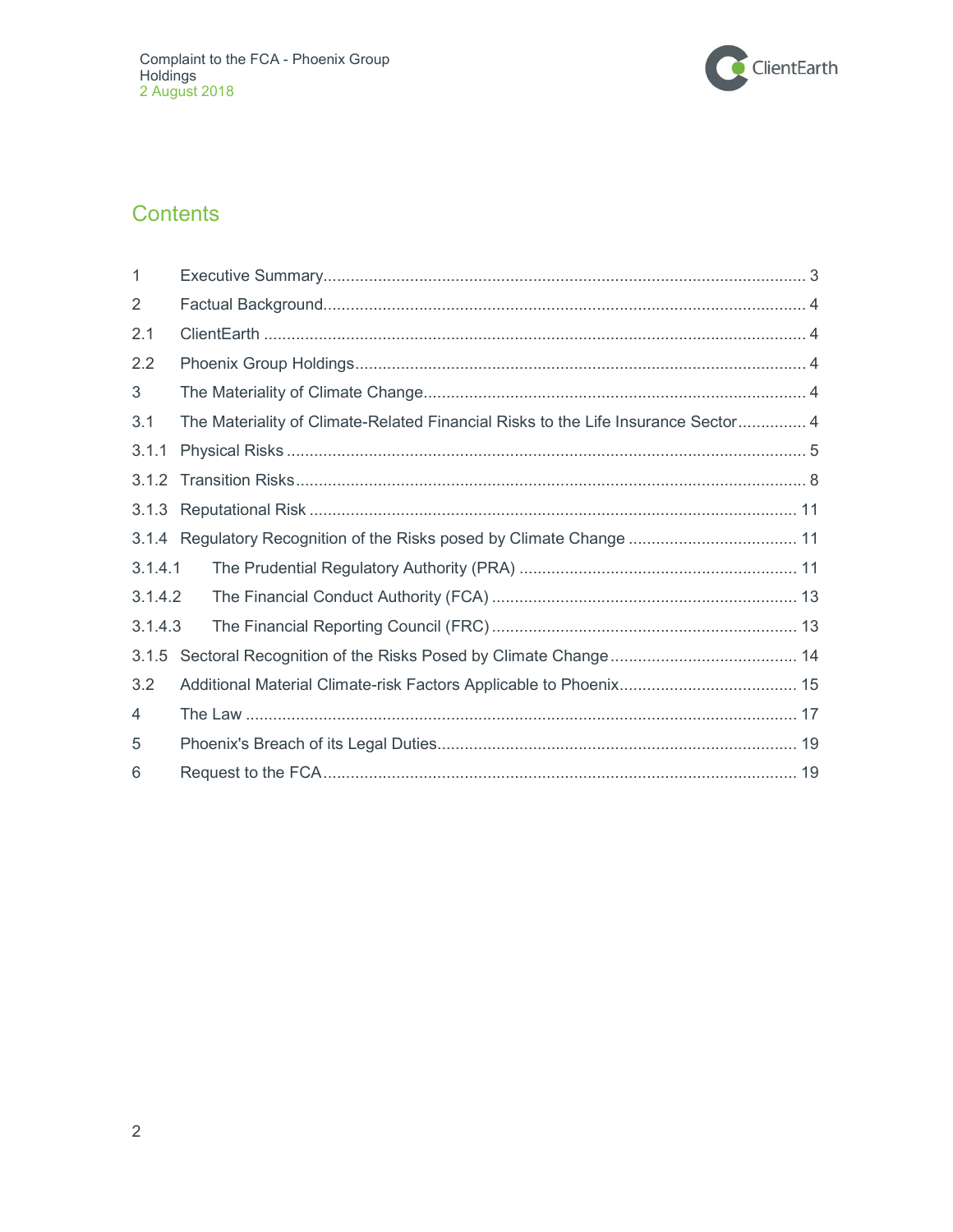

## **Contents**

| 1              |                                                                                   |
|----------------|-----------------------------------------------------------------------------------|
| $\overline{2}$ |                                                                                   |
| 2.1            |                                                                                   |
| 2.2            |                                                                                   |
| 3              |                                                                                   |
| 3.1            | The Materiality of Climate-Related Financial Risks to the Life Insurance Sector 4 |
| 3.1.1          |                                                                                   |
| 3.1.2          |                                                                                   |
| 3.1.3          |                                                                                   |
|                | 3.1.4 Regulatory Recognition of the Risks posed by Climate Change  11             |
| 3.1.4.1        |                                                                                   |
| 3.1.4.2        |                                                                                   |
| 3.1.4.3        |                                                                                   |
| 3.1.5          |                                                                                   |
| 3.2            |                                                                                   |
| $\overline{4}$ |                                                                                   |
| 5              |                                                                                   |
| 6              |                                                                                   |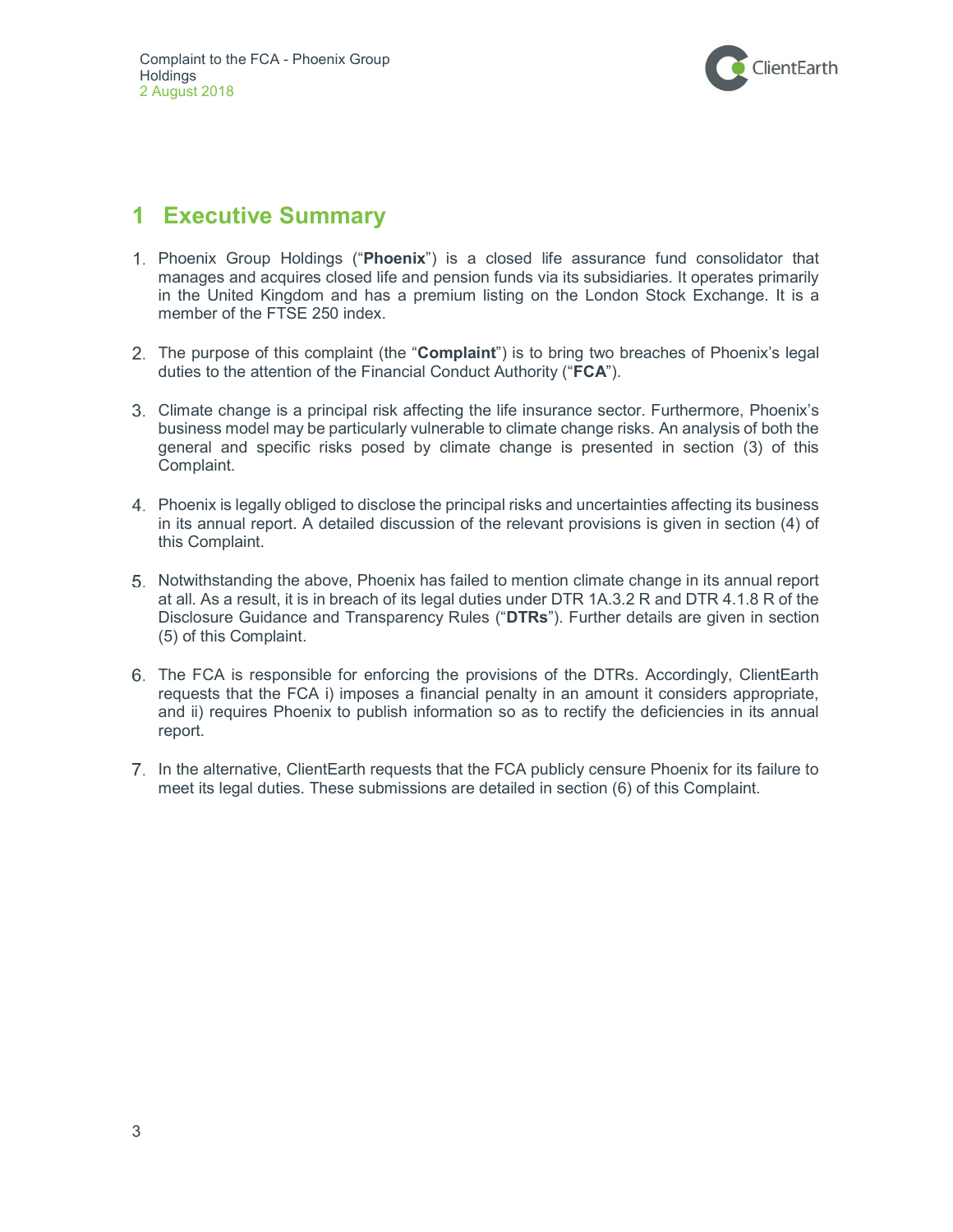

# 1 Executive Summary

- 1. Phoenix Group Holdings ("Phoenix") is a closed life assurance fund consolidator that manages and acquires closed life and pension funds via its subsidiaries. It operates primarily in the United Kingdom and has a premium listing on the London Stock Exchange. It is a member of the FTSE 250 index.
- 2. The purpose of this complaint (the "**Complaint**") is to bring two breaches of Phoenix's legal duties to the attention of the Financial Conduct Authority ("FCA").
- Climate change is a principal risk affecting the life insurance sector. Furthermore, Phoenix's business model may be particularly vulnerable to climate change risks. An analysis of both the general and specific risks posed by climate change is presented in section (3) of this Complaint.
- Phoenix is legally obliged to disclose the principal risks and uncertainties affecting its business in its annual report. A detailed discussion of the relevant provisions is given in section (4) of this Complaint.
- 5. Notwithstanding the above, Phoenix has failed to mention climate change in its annual report at all. As a result, it is in breach of its legal duties under DTR 1A.3.2 R and DTR 4.1.8 R of the Disclosure Guidance and Transparency Rules ("DTRs"). Further details are given in section (5) of this Complaint.
- The FCA is responsible for enforcing the provisions of the DTRs. Accordingly, ClientEarth requests that the FCA i) imposes a financial penalty in an amount it considers appropriate, and ii) requires Phoenix to publish information so as to rectify the deficiencies in its annual report.
- 7. In the alternative, ClientEarth requests that the FCA publicly censure Phoenix for its failure to meet its legal duties. These submissions are detailed in section (6) of this Complaint.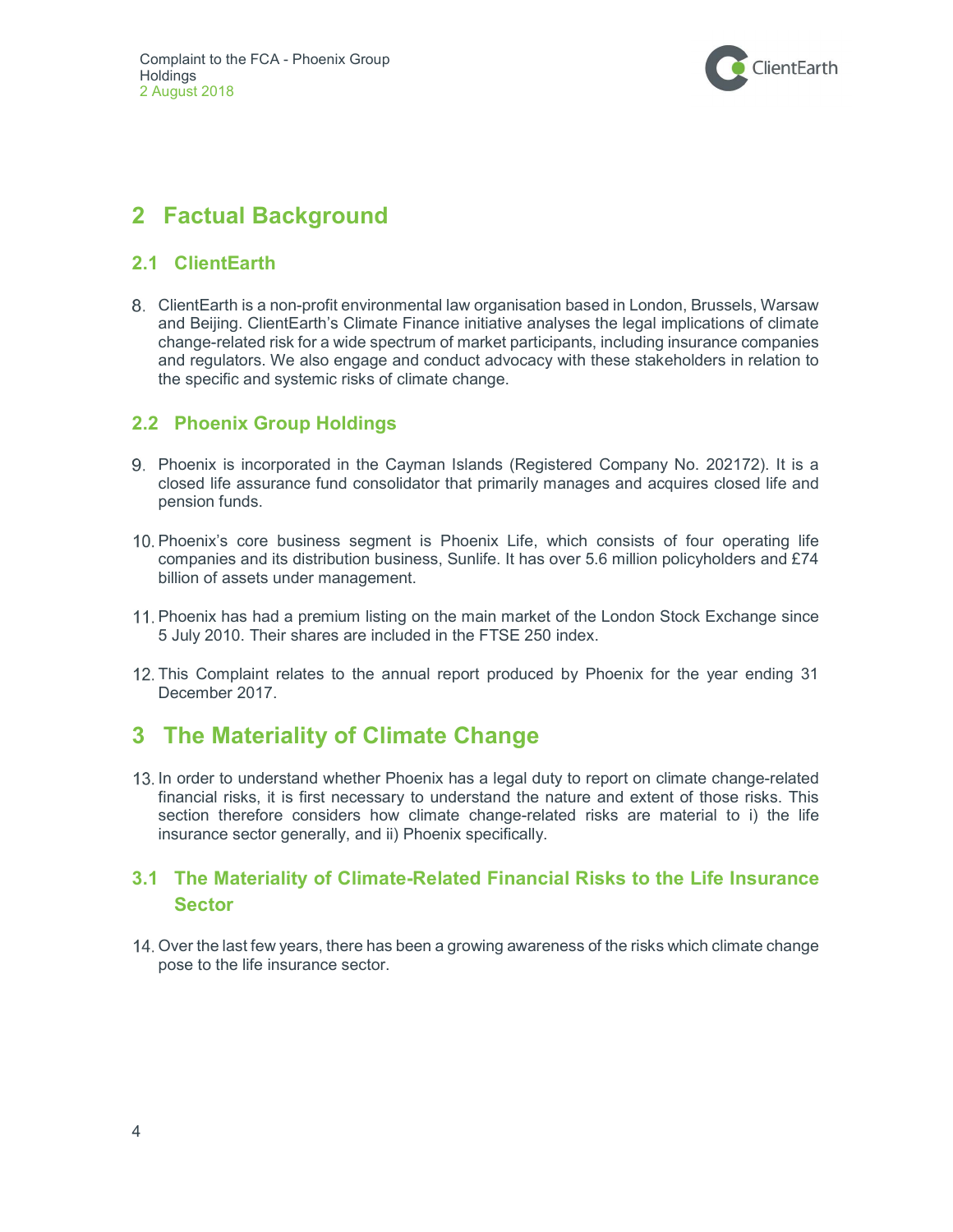

# 2 Factual Background

## 2.1 ClientEarth

 ClientEarth is a non-profit environmental law organisation based in London, Brussels, Warsaw and Beijing. ClientEarth's Climate Finance initiative analyses the legal implications of climate change-related risk for a wide spectrum of market participants, including insurance companies and regulators. We also engage and conduct advocacy with these stakeholders in relation to the specific and systemic risks of climate change.

## 2.2 Phoenix Group Holdings

- Phoenix is incorporated in the Cayman Islands (Registered Company No. 202172). It is a closed life assurance fund consolidator that primarily manages and acquires closed life and pension funds.
- 10. Phoenix's core business segment is Phoenix Life, which consists of four operating life companies and its distribution business, Sunlife. It has over 5.6 million policyholders and £74 billion of assets under management.
- 11. Phoenix has had a premium listing on the main market of the London Stock Exchange since 5 July 2010. Their shares are included in the FTSE 250 index.
- This Complaint relates to the annual report produced by Phoenix for the year ending 31 December 2017.

# **The Materiality of Climate Change**

13. In order to understand whether Phoenix has a legal duty to report on climate change-related financial risks, it is first necessary to understand the nature and extent of those risks. This section therefore considers how climate change-related risks are material to i) the life insurance sector generally, and ii) Phoenix specifically.

## 3.1 The Materiality of Climate-Related Financial Risks to the Life Insurance **Sector**

14. Over the last few years, there has been a growing awareness of the risks which climate change pose to the life insurance sector.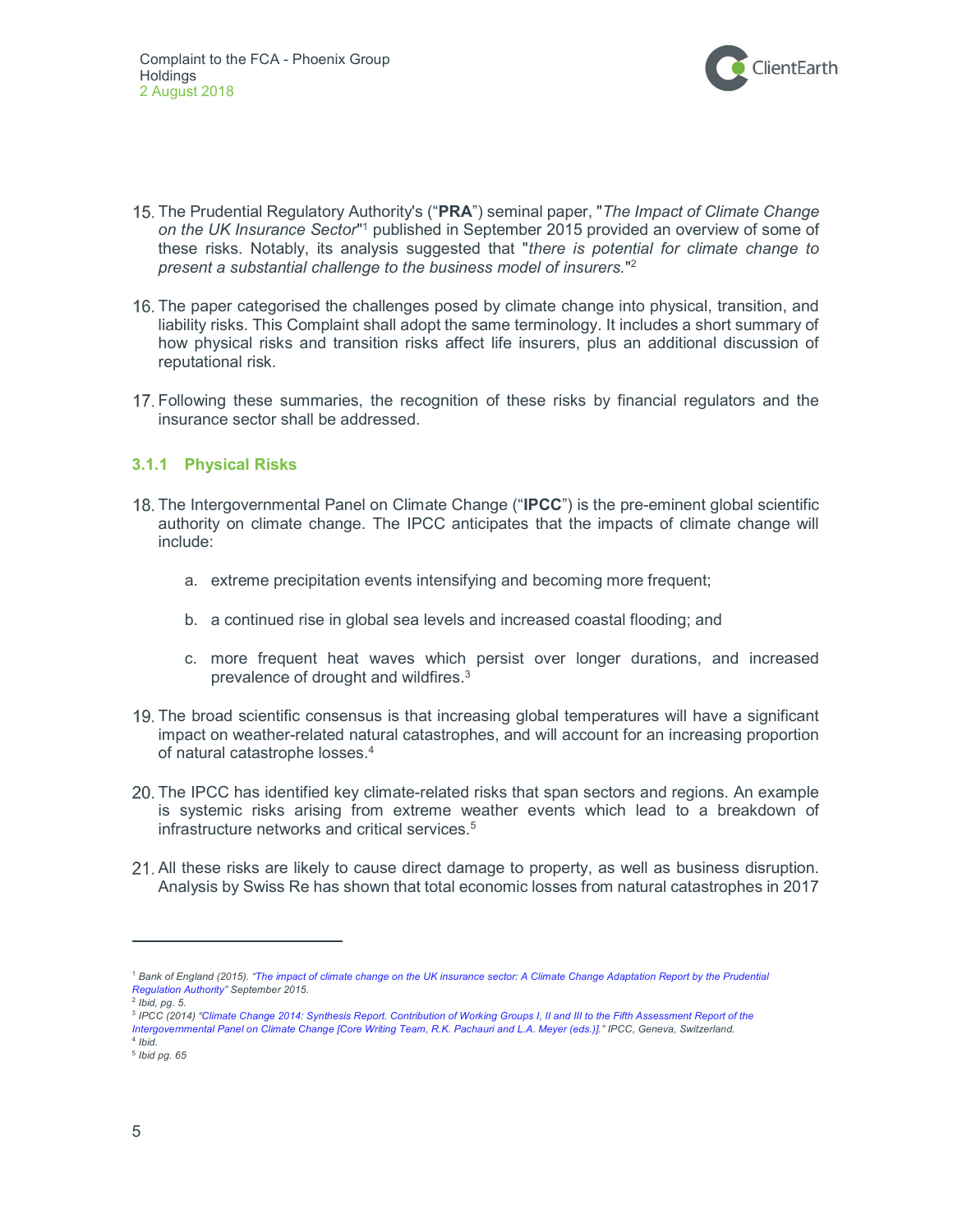

- 15. The Prudential Regulatory Authority's ("PRA") seminal paper, "The Impact of Climate Change on the UK Insurance Sector"<sup>1</sup> published in September 2015 provided an overview of some of these risks. Notably, its analysis suggested that "there is potential for climate change to present a substantial challenge to the business model of insurers."<sup>2</sup>
- The paper categorised the challenges posed by climate change into physical, transition, and liability risks. This Complaint shall adopt the same terminology. It includes a short summary of how physical risks and transition risks affect life insurers, plus an additional discussion of reputational risk.
- Following these summaries, the recognition of these risks by financial regulators and the insurance sector shall be addressed.

#### 3.1.1 Physical Risks

- 18. The Intergovernmental Panel on Climate Change ("IPCC") is the pre-eminent global scientific authority on climate change. The IPCC anticipates that the impacts of climate change will include:
	- a. extreme precipitation events intensifying and becoming more frequent;
	- b. a continued rise in global sea levels and increased coastal flooding; and
	- c. more frequent heat waves which persist over longer durations, and increased prevalence of drought and wildfires.<sup>3</sup>
- The broad scientific consensus is that increasing global temperatures will have a significant impact on weather-related natural catastrophes, and will account for an increasing proportion of natural catastrophe losses.<sup>4</sup>
- The IPCC has identified key climate-related risks that span sectors and regions. An example is systemic risks arising from extreme weather events which lead to a breakdown of infrastructure networks and critical services.<sup>5</sup>
- All these risks are likely to cause direct damage to property, as well as business disruption. Analysis by Swiss Re has shown that total economic losses from natural catastrophes in 2017

<sup>&</sup>lt;sup>1</sup> Bank of England (2015). "The impact of climate change on the UK insurance sector: A Climate Change Adaptation Report by the Prudential Regulation Authority" September 2015.

<sup>&</sup>lt;sup>2</sup> Ibid, pg. 5.

<sup>&</sup>lt;sup>3</sup> IPCC (2014) "Climate Change 2014: Synthesis Report. Contribution of Working Groups I, II and III to the Fifth Assessment Report of the Intergovernmental Panel on Climate Change [Core Writing Team, R.K. Pachauri and L.A. Meyer (eds.)]." IPCC, Geneva, Switzerland.

<sup>4</sup> Ibid. 5 Ibid pg. 65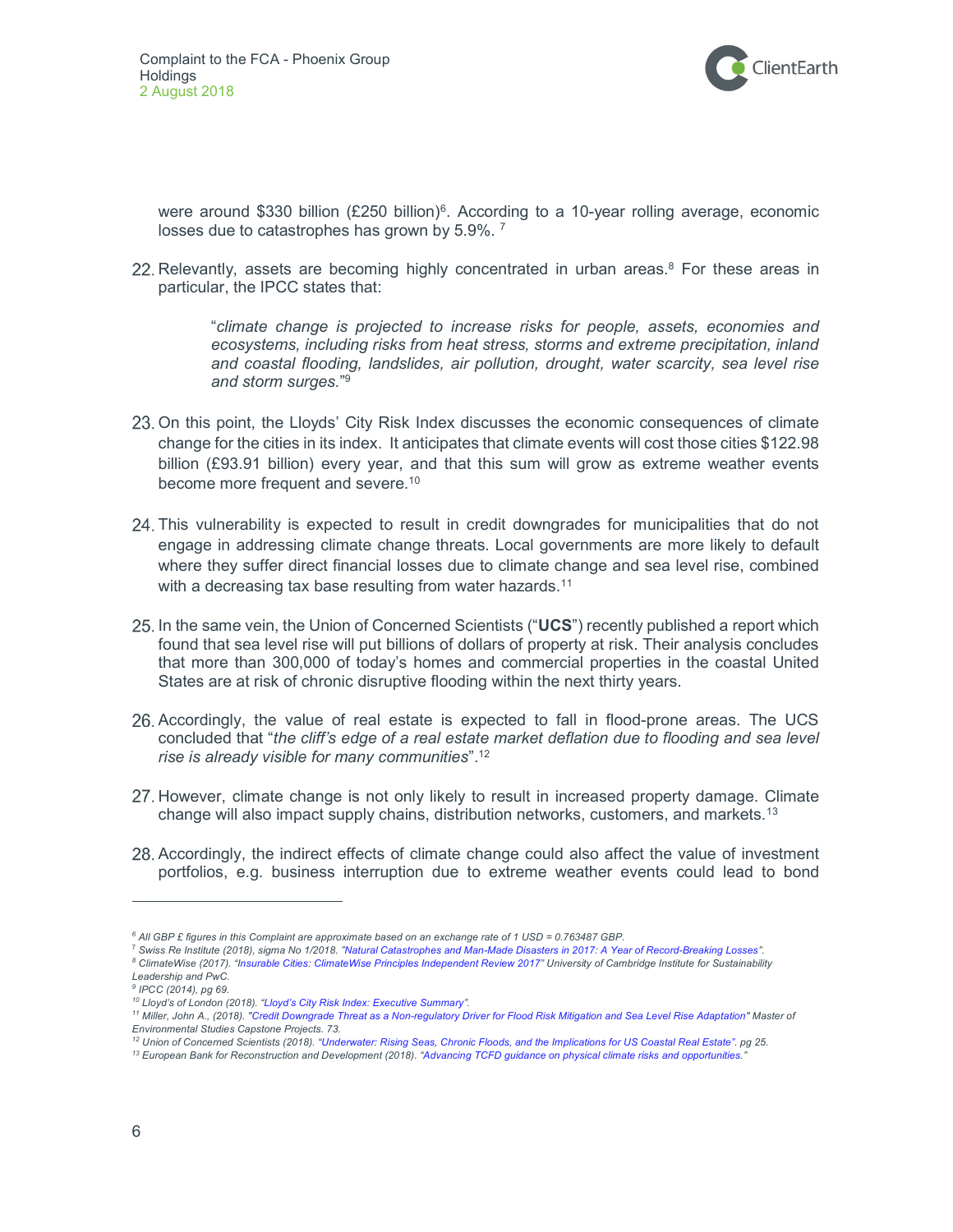

were around \$330 billion (£250 billion)<sup>6</sup>. According to a 10-year rolling average, economic losses due to catastrophes has grown by 5.9%.<sup>7</sup>

Relevantly, assets are becoming highly concentrated in urban areas. $8$  For these areas in particular, the IPCC states that:

> "climate change is projected to increase risks for people, assets, economies and ecosystems, including risks from heat stress, storms and extreme precipitation, inland and coastal flooding, landslides, air pollution, drought, water scarcity, sea level rise and storm surges." 9

- On this point, the Lloyds' City Risk Index discusses the economic consequences of climate change for the cities in its index. It anticipates that climate events will cost those cities \$122.98 billion (£93.91 billion) every year, and that this sum will grow as extreme weather events become more frequent and severe.<sup>10</sup>
- This vulnerability is expected to result in credit downgrades for municipalities that do not engage in addressing climate change threats. Local governments are more likely to default where they suffer direct financial losses due to climate change and sea level rise, combined with a decreasing tax base resulting from water hazards.<sup>11</sup>
- 25. In the same vein, the Union of Concerned Scientists ("UCS") recently published a report which found that sea level rise will put billions of dollars of property at risk. Their analysis concludes that more than 300,000 of today's homes and commercial properties in the coastal United States are at risk of chronic disruptive flooding within the next thirty years.
- 26, Accordingly, the value of real estate is expected to fall in flood-prone areas. The UCS concluded that "the cliff's edge of a real estate market deflation due to flooding and sea level rise is already visible for many communities". $12$
- 27. However, climate change is not only likely to result in increased property damage. Climate change will also impact supply chains, distribution networks, customers, and markets.<sup>13</sup>
- Accordingly, the indirect effects of climate change could also affect the value of investment portfolios, e.g. business interruption due to extreme weather events could lead to bond

- <sup>7</sup> Swiss Re Institute (2018), sigma No 1/2018. "Natural Catastrophes and Man-Made Disasters in 2017: A Year of Record-Breaking Losses".
- <sup>8</sup> ClimateWise (2017). "Insurable Cities: ClimateWise Principles Independent Review 2017" University of Cambridge Institute for Sustainability Leadership and PwC.
- <sup>9</sup> IPCC (2014), pg 69.

<sup>6</sup> All GBP £ figures in this Complaint are approximate based on an exchange rate of 1 USD = 0.763487 GBP.

<sup>&</sup>lt;sup>10</sup> Lloyd's of London (2018). "Lloyd's City Risk Index: Executive Summary".

<sup>11</sup> Miller, John A., (2018). "Credit Downgrade Threat as a Non-regulatory Driver for Flood Risk Mitigation and Sea Level Rise Adaptation" Master of Environmental Studies Capstone Projects. 73.

<sup>12</sup> Union of Concerned Scientists (2018). "Underwater: Rising Seas, Chronic Floods, and the Implications for US Coastal Real Estate". pg 25. <sup>13</sup> European Bank for Reconstruction and Development (2018). "Advancing TCFD guidance on physical climate risks and opportunities."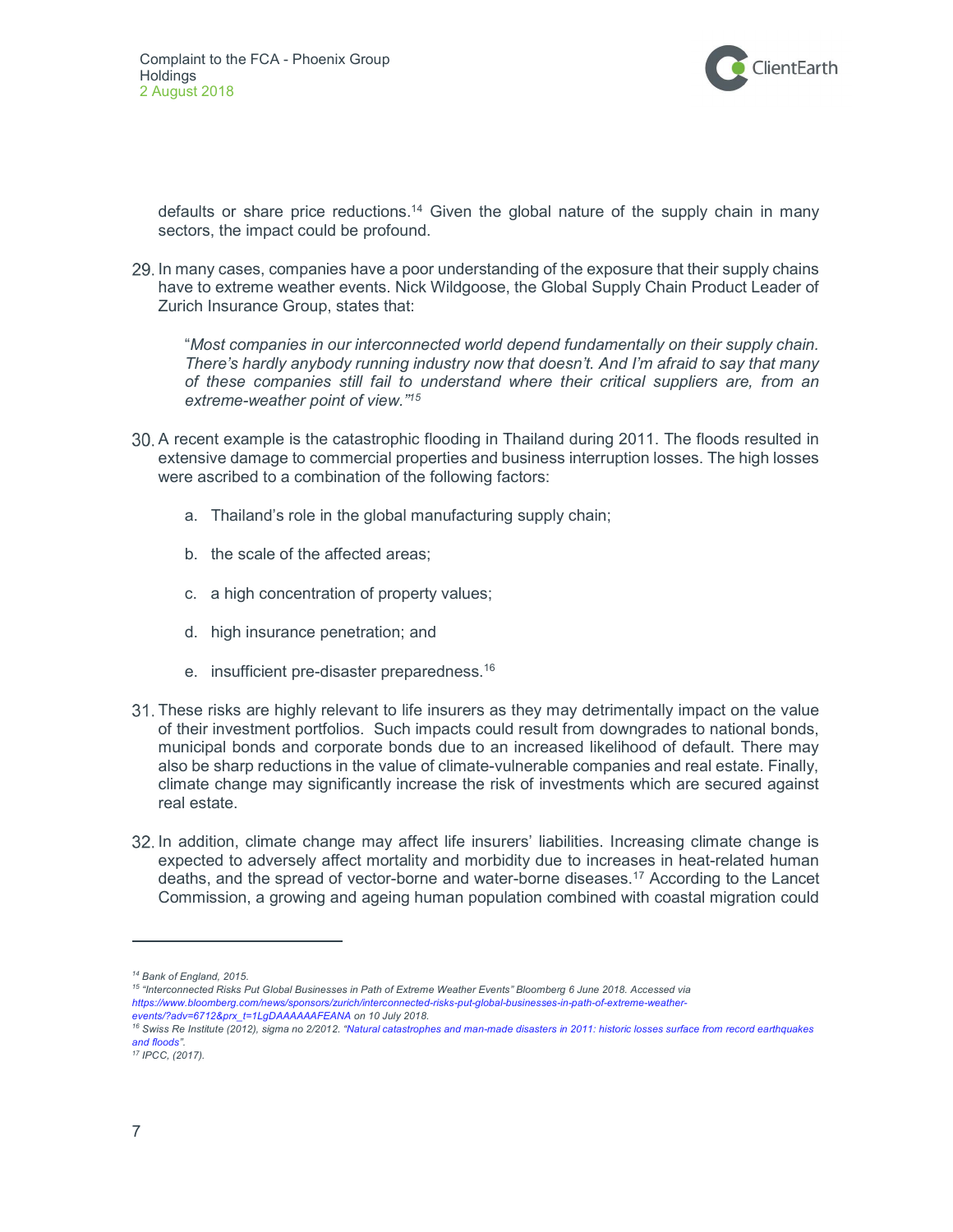

defaults or share price reductions.<sup>14</sup> Given the global nature of the supply chain in many sectors, the impact could be profound.

29. In many cases, companies have a poor understanding of the exposure that their supply chains have to extreme weather events. Nick Wildgoose, the Global Supply Chain Product Leader of Zurich Insurance Group, states that:

"Most companies in our interconnected world depend fundamentally on their supply chain. There's hardly anybody running industry now that doesn't. And I'm afraid to say that many of these companies still fail to understand where their critical suppliers are, from an extreme-weather point of view."<sup>15</sup>

- A recent example is the catastrophic flooding in Thailand during 2011. The floods resulted in extensive damage to commercial properties and business interruption losses. The high losses were ascribed to a combination of the following factors:
	- a. Thailand's role in the global manufacturing supply chain;
	- b. the scale of the affected areas;
	- c. a high concentration of property values;
	- d. high insurance penetration; and
	- e. insufficient pre-disaster preparedness.<sup>16</sup>
- These risks are highly relevant to life insurers as they may detrimentally impact on the value of their investment portfolios. Such impacts could result from downgrades to national bonds, municipal bonds and corporate bonds due to an increased likelihood of default. There may also be sharp reductions in the value of climate-vulnerable companies and real estate. Finally, climate change may significantly increase the risk of investments which are secured against real estate.
- 32. In addition, climate change may affect life insurers' liabilities. Increasing climate change is expected to adversely affect mortality and morbidity due to increases in heat-related human deaths, and the spread of vector-borne and water-borne diseases.<sup>17</sup> According to the Lancet Commission, a growing and ageing human population combined with coastal migration could

<sup>15</sup> "Interconnected Risks Put Global Businesses in Path of Extreme Weather Events" Bloomberg 6 June 2018. Accessed via https://www.bloomberg.com/news/sponsors/zurich/interconnected-risks-put-global-businesses-in-path-of-extreme-weatherevents/?adv=6712&prx\_t=1LgDAAAAAAFEANA on 10 July 2018.

<sup>14</sup> Bank of England, 2015.

<sup>&</sup>lt;sup>16</sup> Swiss Re Institute (2012), sigma no 2/2012. "Natural catastrophes and man-made disasters in 2011: historic losses surface from record earthquakes and floods".

<sup>17</sup> IPCC, (2017).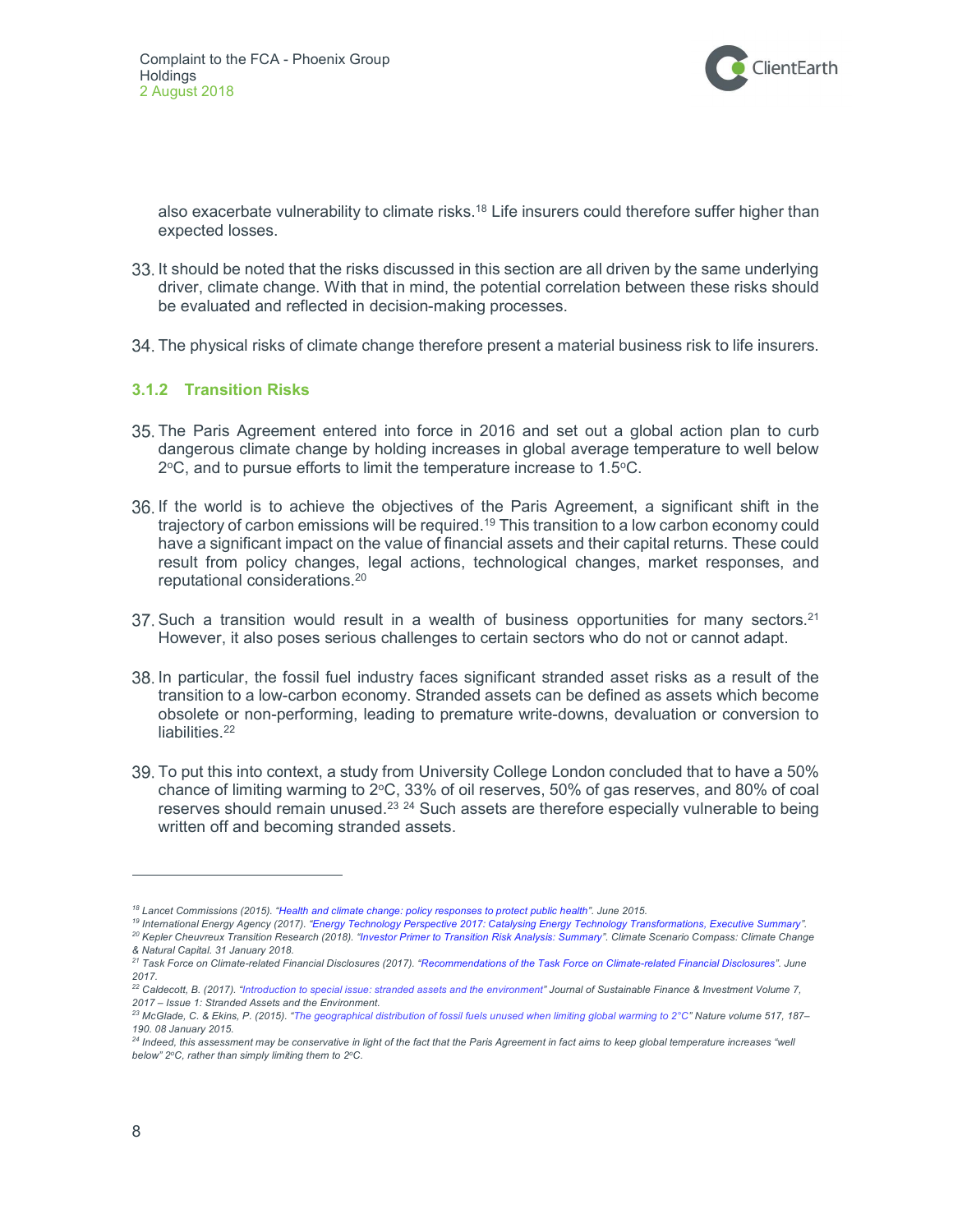

also exacerbate vulnerability to climate risks.<sup>18</sup> Life insurers could therefore suffer higher than expected losses.

- 33. It should be noted that the risks discussed in this section are all driven by the same underlying driver, climate change. With that in mind, the potential correlation between these risks should be evaluated and reflected in decision-making processes.
- The physical risks of climate change therefore present a material business risk to life insurers.

#### 3.1.2 Transition Risks

- The Paris Agreement entered into force in 2016 and set out a global action plan to curb dangerous climate change by holding increases in global average temperature to well below  $2^{\circ}$ C, and to pursue efforts to limit the temperature increase to 1.5 $^{\circ}$ C.
- If the world is to achieve the objectives of the Paris Agreement, a significant shift in the trajectory of carbon emissions will be required.<sup>19</sup> This transition to a low carbon economy could have a significant impact on the value of financial assets and their capital returns. These could result from policy changes, legal actions, technological changes, market responses, and reputational considerations.<sup>20</sup>
- 37. Such a transition would result in a wealth of business opportunities for many sectors.<sup>21</sup> However, it also poses serious challenges to certain sectors who do not or cannot adapt.
- In particular, the fossil fuel industry faces significant stranded asset risks as a result of the transition to a low-carbon economy. Stranded assets can be defined as assets which become obsolete or non-performing, leading to premature write-downs, devaluation or conversion to liabilities.<sup>22</sup>
- To put this into context, a study from University College London concluded that to have a 50% chance of limiting warming to  $2^{\circ}$ C, 33% of oil reserves, 50% of gas reserves, and 80% of coal reserves should remain unused.<sup>23 24</sup> Such assets are therefore especially vulnerable to being written off and becoming stranded assets.

<sup>19</sup> International Energy Agency (2017). "Energy Technology Perspective 2017: Catalysing Energy Technology Transformations, Executive Summary". <sup>20</sup> Kepler Cheuvreux Transition Research (2018). "Investor Primer to Transition Risk Analysis: Summary". Climate Scenario Compass: Climate Change & Natural Capital. 31 January 2018.

<sup>18</sup> Lancet Commissions (2015). "Health and climate change: policy responses to protect public health". June 2015.

<sup>&</sup>lt;sup>21</sup> Task Force on Climate-related Financial Disclosures (2017). "Recommendations of the Task Force on Climate-related Financial Disclosures". June 2017.

<sup>&</sup>lt;sup>22</sup> Caldecott, B. (2017). "Introduction to special issue: stranded assets and the environment" Journal of Sustainable Finance & Investment Volume 7, 2017 – Issue 1: Stranded Assets and the Environment.

<sup>&</sup>lt;sup>23</sup> McGlade, C. & Ekins, P. (2015). "The geographical distribution of fossil fuels unused when limiting global warming to 2°C" Nature volume 517, 187– 190. 08 January 2015.

<sup>&</sup>lt;sup>24</sup> Indeed, this assessment may be conservative in light of the fact that the Paris Agreement in fact aims to keep global temperature increases "well below"  $2^{\circ}$ C, rather than simply limiting them to  $2^{\circ}$ C.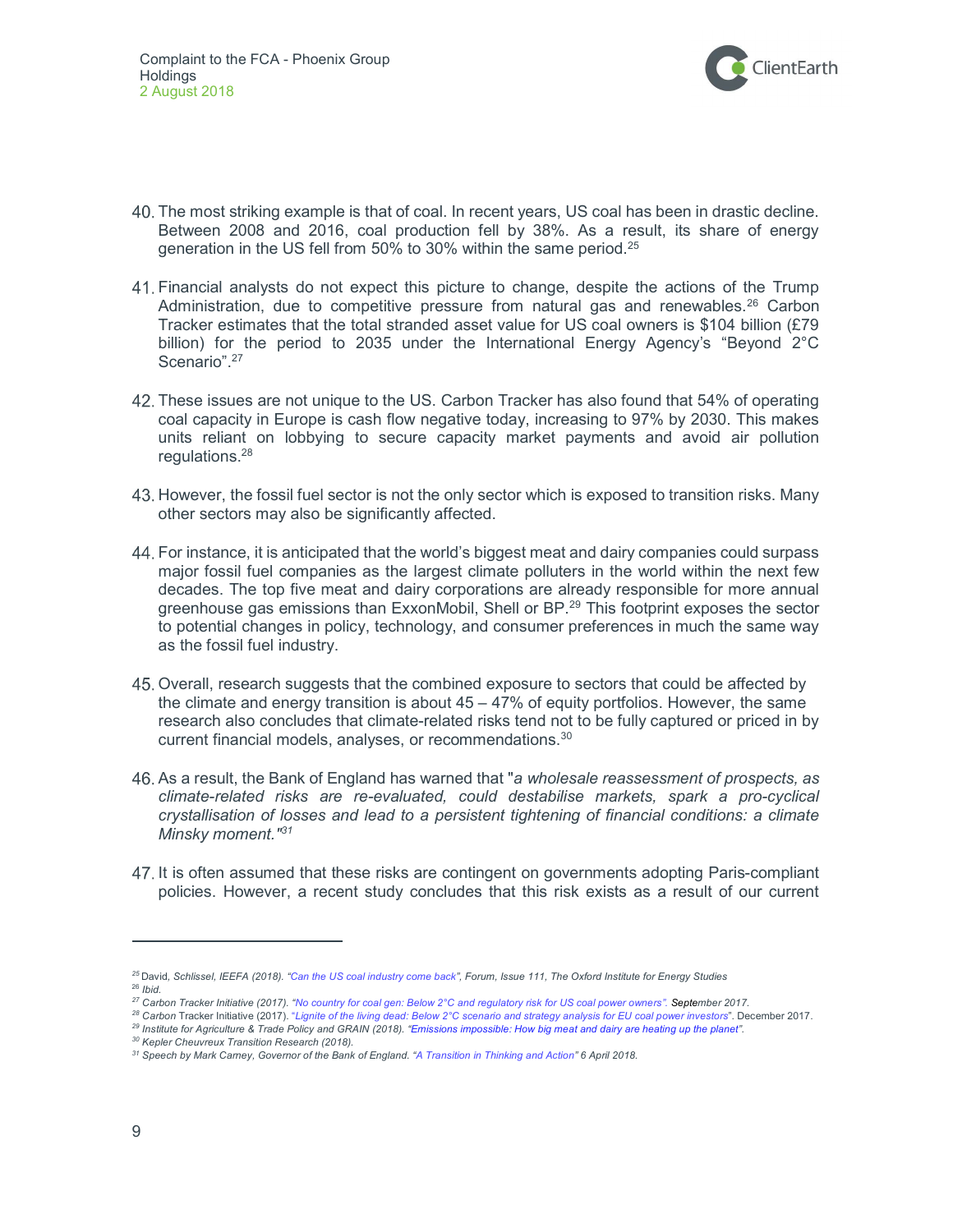

- The most striking example is that of coal. In recent years, US coal has been in drastic decline. Between 2008 and 2016, coal production fell by 38%. As a result, its share of energy generation in the US fell from 50% to 30% within the same period.<sup>25</sup>
- Financial analysts do not expect this picture to change, despite the actions of the Trump Administration, due to competitive pressure from natural gas and renewables.<sup>26</sup> Carbon Tracker estimates that the total stranded asset value for US coal owners is \$104 billion (£79 billion) for the period to 2035 under the International Energy Agency's "Beyond 2°C Scenario".<sup>27</sup>
- These issues are not unique to the US. Carbon Tracker has also found that 54% of operating coal capacity in Europe is cash flow negative today, increasing to 97% by 2030. This makes units reliant on lobbying to secure capacity market payments and avoid air pollution regulations.<sup>28</sup>
- 43. However, the fossil fuel sector is not the only sector which is exposed to transition risks. Many other sectors may also be significantly affected.
- For instance, it is anticipated that the world's biggest meat and dairy companies could surpass major fossil fuel companies as the largest climate polluters in the world within the next few decades. The top five meat and dairy corporations are already responsible for more annual greenhouse gas emissions than ExxonMobil, Shell or BP.<sup>29</sup> This footprint exposes the sector to potential changes in policy, technology, and consumer preferences in much the same way as the fossil fuel industry.
- Overall, research suggests that the combined exposure to sectors that could be affected by the climate and energy transition is about 45 – 47% of equity portfolios. However, the same research also concludes that climate-related risks tend not to be fully captured or priced in by current financial models, analyses, or recommendations.<sup>30</sup>
- 46. As a result, the Bank of England has warned that "a wholesale reassessment of prospects, as climate-related risks are re-evaluated, could destabilise markets, spark a pro-cyclical crystallisation of losses and lead to a persistent tightening of financial conditions: a climate Minsky moment.<sup>"31</sup>
- It is often assumed that these risks are contingent on governments adopting Paris-compliant policies. However, a recent study concludes that this risk exists as a result of our current

<sup>&</sup>lt;sup>25</sup> David, Schlissel, IEEFA (2018). "Can the US coal industry come back", Forum, Issue 111, The Oxford Institute for Energy Studies  $26$  Ibid.

<sup>&</sup>lt;sup>27</sup> Carbon Tracker Initiative (2017). "No country for coal gen: Below 2°C and regulatory risk for US coal power owners". September 2017.

<sup>&</sup>lt;sup>28</sup> Carbon Tracker Initiative (2017). "Lignite of the living dead: Below 2°C scenario and strategy analysis for EU coal power investors". December 2017. <sup>29</sup> Institute for Agriculture & Trade Policy and GRAIN (2018). "Emissions impossible: How big meat and dairy are heating up the planet".

<sup>30</sup> Kepler Cheuvreux Transition Research (2018).

<sup>&</sup>lt;sup>31</sup> Speech by Mark Carney, Governor of the Bank of England. "A Transition in Thinking and Action" 6 April 2018.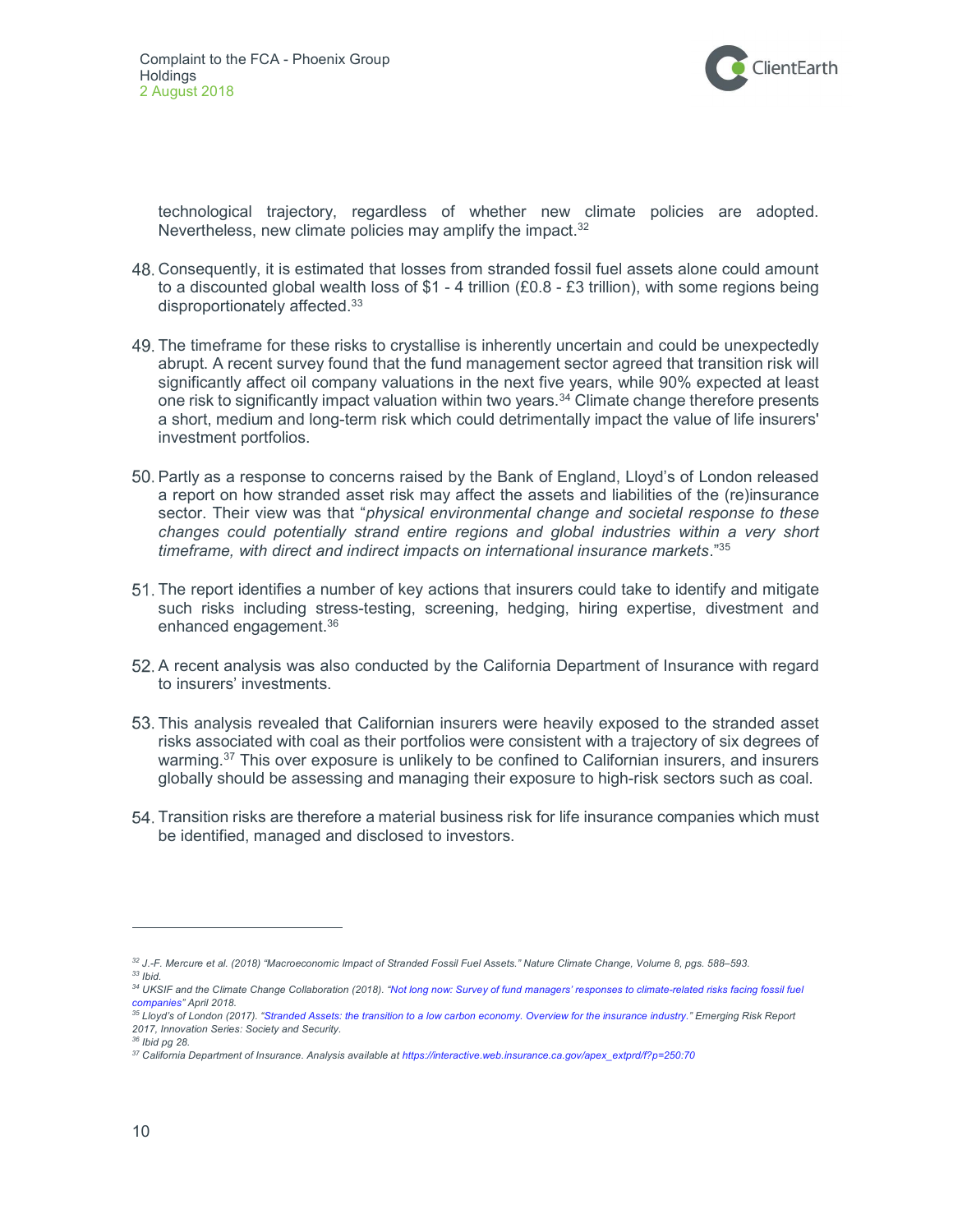

technological trajectory, regardless of whether new climate policies are adopted. Nevertheless, new climate policies may amplify the impact.<sup>32</sup>

- Consequently, it is estimated that losses from stranded fossil fuel assets alone could amount to a discounted global wealth loss of \$1 - 4 trillion (£0.8 - £3 trillion), with some regions being disproportionately affected.<sup>33</sup>
- The timeframe for these risks to crystallise is inherently uncertain and could be unexpectedly abrupt. A recent survey found that the fund management sector agreed that transition risk will significantly affect oil company valuations in the next five years, while 90% expected at least one risk to significantly impact valuation within two years.<sup>34</sup> Climate change therefore presents a short, medium and long-term risk which could detrimentally impact the value of life insurers' investment portfolios.
- 50. Partly as a response to concerns raised by the Bank of England, Lloyd's of London released a report on how stranded asset risk may affect the assets and liabilities of the (re)insurance sector. Their view was that "physical environmental change and societal response to these changes could potentially strand entire regions and global industries within a very short timeframe, with direct and indirect impacts on international insurance markets."<sup>35</sup>
- The report identifies a number of key actions that insurers could take to identify and mitigate such risks including stress-testing, screening, hedging, hiring expertise, divestment and enhanced engagement.<sup>36</sup>
- A recent analysis was also conducted by the California Department of Insurance with regard to insurers' investments.
- This analysis revealed that Californian insurers were heavily exposed to the stranded asset risks associated with coal as their portfolios were consistent with a trajectory of six degrees of warming.<sup>37</sup> This over exposure is unlikely to be confined to Californian insurers, and insurers globally should be assessing and managing their exposure to high-risk sectors such as coal.
- Transition risks are therefore a material business risk for life insurance companies which must be identified, managed and disclosed to investors.

<sup>32</sup> J.-F. Mercure et al. (2018) "Macroeconomic Impact of Stranded Fossil Fuel Assets." Nature Climate Change, Volume 8, pgs. 588–593.  $33$  Ibid.

<sup>34</sup> UKSIF and the Climate Change Collaboration (2018). "Not long now: Survey of fund managers' responses to climate-related risks facing fossil fuel companies" April 2018.

<sup>&</sup>lt;sup>35</sup> Lloyd's of London (2017). "Stranded Assets: the transition to a low carbon economy. Overview for the insurance industry." Emerging Risk Report 2017, Innovation Series: Society and Security.

 $36$  Ibid pg 28.

<sup>37</sup> California Department of Insurance. Analysis available at https://interactive.web.insurance.ca.gov/apex\_extprd/f?p=250:70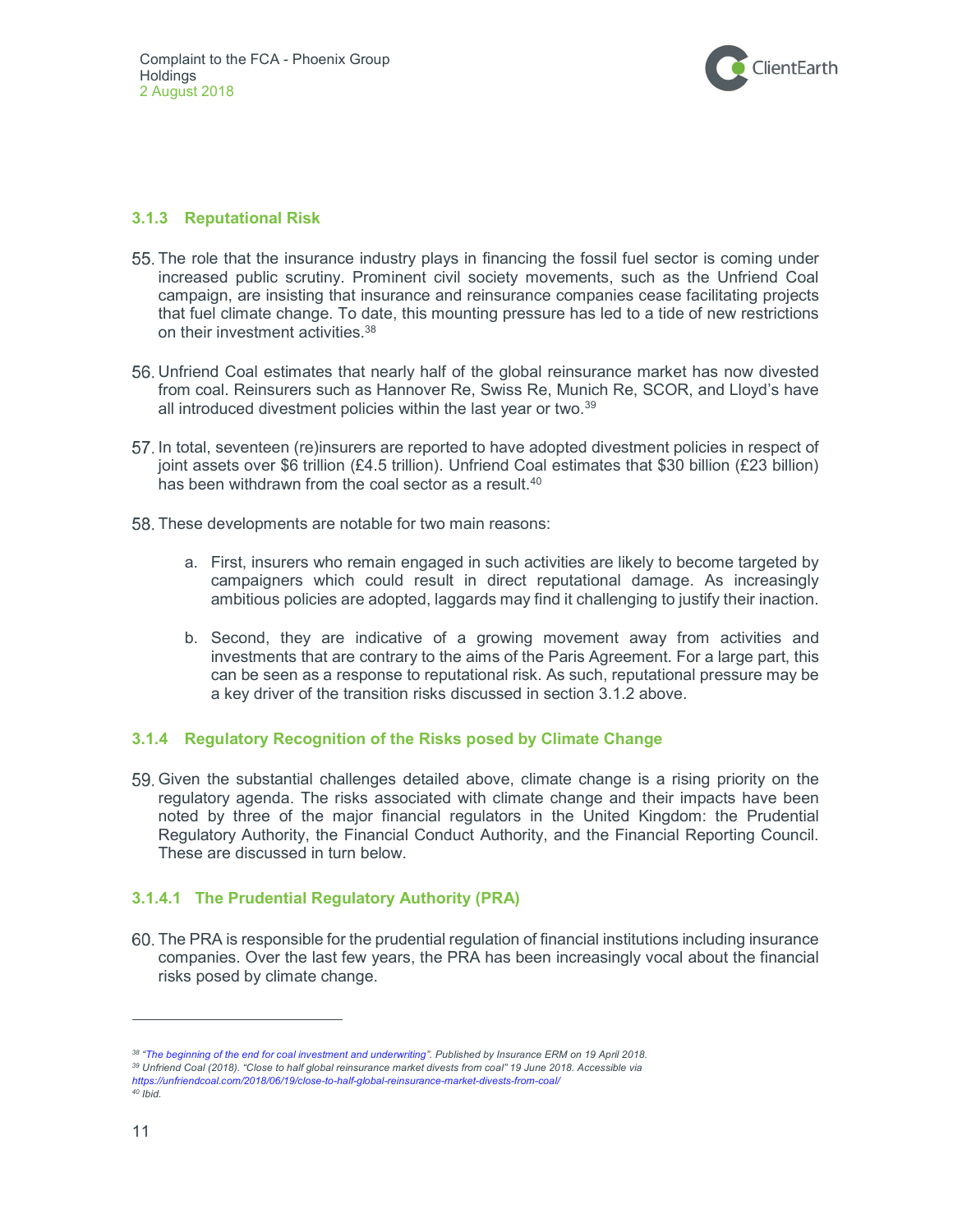

#### 3.1.3 Reputational Risk

- The role that the insurance industry plays in financing the fossil fuel sector is coming under increased public scrutiny. Prominent civil society movements, such as the Unfriend Coal campaign, are insisting that insurance and reinsurance companies cease facilitating projects that fuel climate change. To date, this mounting pressure has led to a tide of new restrictions on their investment activities.<sup>38</sup>
- Unfriend Coal estimates that nearly half of the global reinsurance market has now divested from coal. Reinsurers such as Hannover Re, Swiss Re, Munich Re, SCOR, and Lloyd's have all introduced divestment policies within the last year or two.<sup>39</sup>
- In total, seventeen (re)insurers are reported to have adopted divestment policies in respect of joint assets over \$6 trillion (£4.5 trillion). Unfriend Coal estimates that \$30 billion (£23 billion) has been withdrawn from the coal sector as a result.<sup>40</sup>
- 58. These developments are notable for two main reasons:
	- a. First, insurers who remain engaged in such activities are likely to become targeted by campaigners which could result in direct reputational damage. As increasingly ambitious policies are adopted, laggards may find it challenging to justify their inaction.
	- b. Second, they are indicative of a growing movement away from activities and investments that are contrary to the aims of the Paris Agreement. For a large part, this can be seen as a response to reputational risk. As such, reputational pressure may be a key driver of the transition risks discussed in section 3.1.2 above.

#### 3.1.4 Regulatory Recognition of the Risks posed by Climate Change

 Given the substantial challenges detailed above, climate change is a rising priority on the regulatory agenda. The risks associated with climate change and their impacts have been noted by three of the major financial regulators in the United Kingdom: the Prudential Regulatory Authority, the Financial Conduct Authority, and the Financial Reporting Council. These are discussed in turn below.

#### 3.1.4.1 The Prudential Regulatory Authority (PRA)

 The PRA is responsible for the prudential regulation of financial institutions including insurance companies. Over the last few years, the PRA has been increasingly vocal about the financial risks posed by climate change.

<sup>38 &</sup>quot;The beginning of the end for coal investment and underwriting". Published by Insurance ERM on 19 April 2018.

<sup>39</sup> Unfriend Coal (2018). "Close to half global reinsurance market divests from coal" 19 June 2018. Accessible via https://unfriendcoal.com/2018/06/19/close-to-half-global-reinsurance-market-divests-from-coal/  $40$  Ibid.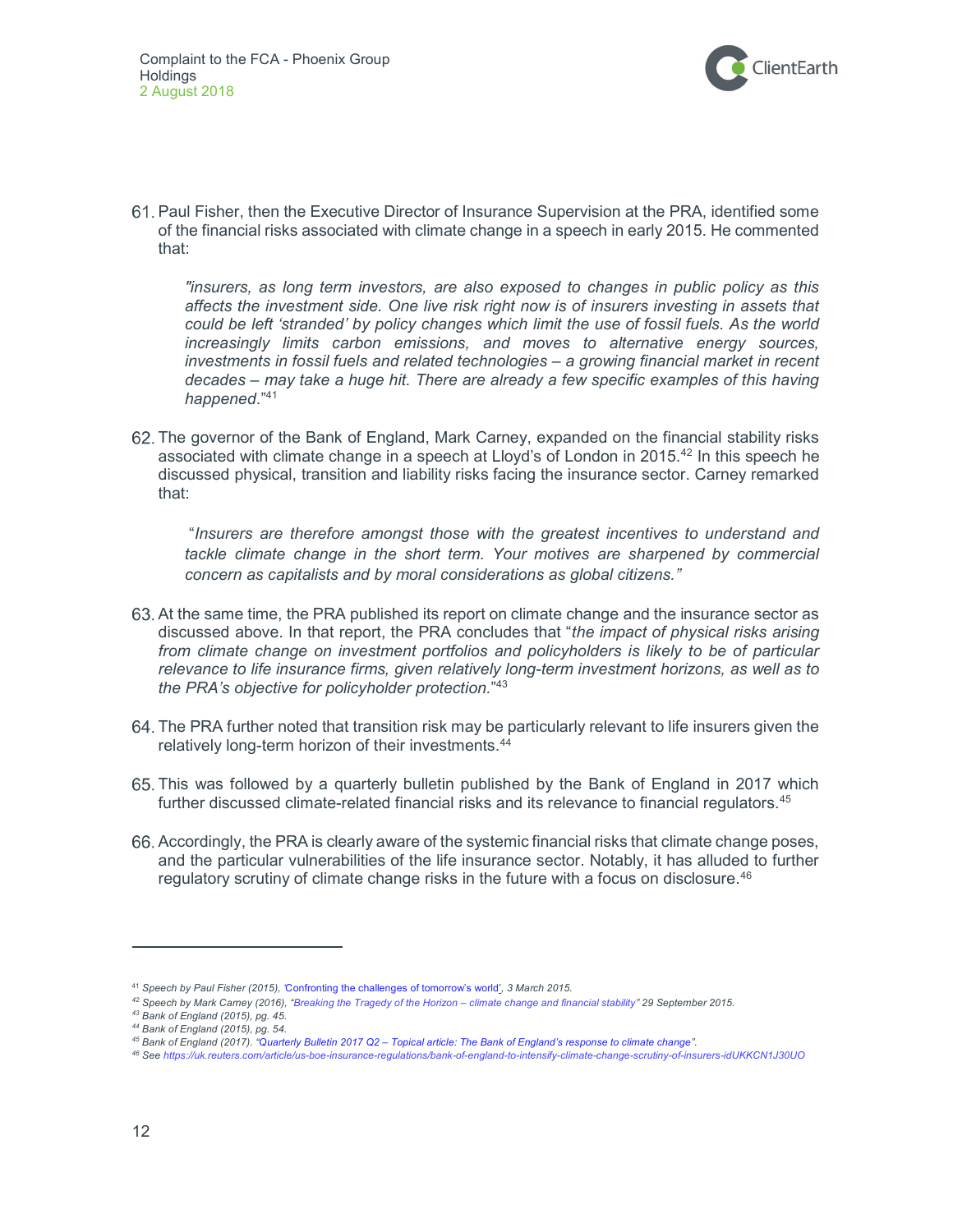

 Paul Fisher, then the Executive Director of Insurance Supervision at the PRA, identified some of the financial risks associated with climate change in a speech in early 2015. He commented that:

"insurers, as long term investors, are also exposed to changes in public policy as this affects the investment side. One live risk right now is of insurers investing in assets that could be left 'stranded' by policy changes which limit the use of fossil fuels. As the world increasingly limits carbon emissions, and moves to alternative energy sources, investments in fossil fuels and related technologies – a growing financial market in recent decades – may take a huge hit. There are already a few specific examples of this having happened."41

 The governor of the Bank of England, Mark Carney, expanded on the financial stability risks associated with climate change in a speech at Lloyd's of London in 2015.<sup>42</sup> In this speech he discussed physical, transition and liability risks facing the insurance sector. Carney remarked that:

 "Insurers are therefore amongst those with the greatest incentives to understand and tackle climate change in the short term. Your motives are sharpened by commercial concern as capitalists and by moral considerations as global citizens."

- 63. At the same time, the PRA published its report on climate change and the insurance sector as discussed above. In that report, the PRA concludes that "the *impact of physical risks arising* from climate change on investment portfolios and policyholders is likely to be of particular relevance to life insurance firms, given relatively long-term investment horizons, as well as to the PRA's objective for policyholder protection."<sup>43</sup>
- The PRA further noted that transition risk may be particularly relevant to life insurers given the relatively long-term horizon of their investments.<sup>44</sup>
- This was followed by a quarterly bulletin published by the Bank of England in 2017 which further discussed climate-related financial risks and its relevance to financial regulators.<sup>45</sup>
- Accordingly, the PRA is clearly aware of the systemic financial risks that climate change poses, and the particular vulnerabilities of the life insurance sector. Notably, it has alluded to further regulatory scrutiny of climate change risks in the future with a focus on disclosure. $46$

<sup>&</sup>lt;sup>41</sup> Speech by Paul Fisher (2015), 'Confronting the challenges of tomorrow's world', 3 March 2015.

 $42$  Speech by Mark Carney (2016), "Breaking the Tragedy of the Horizon – climate change and financial stability" 29 September 2015.

<sup>43</sup> Bank of England (2015), pg. 45.

<sup>44</sup> Bank of England (2015), pg. 54.

<sup>45</sup> Bank of England (2017). "Quarterly Bulletin 2017 Q2 – Topical article: The Bank of England's response to climate change".

<sup>46</sup> See https://uk.reuters.com/article/us-boe-insurance-regulations/bank-of-england-to-intensify-climate-change-scrutiny-of-insurers-idUKKCN1J30UO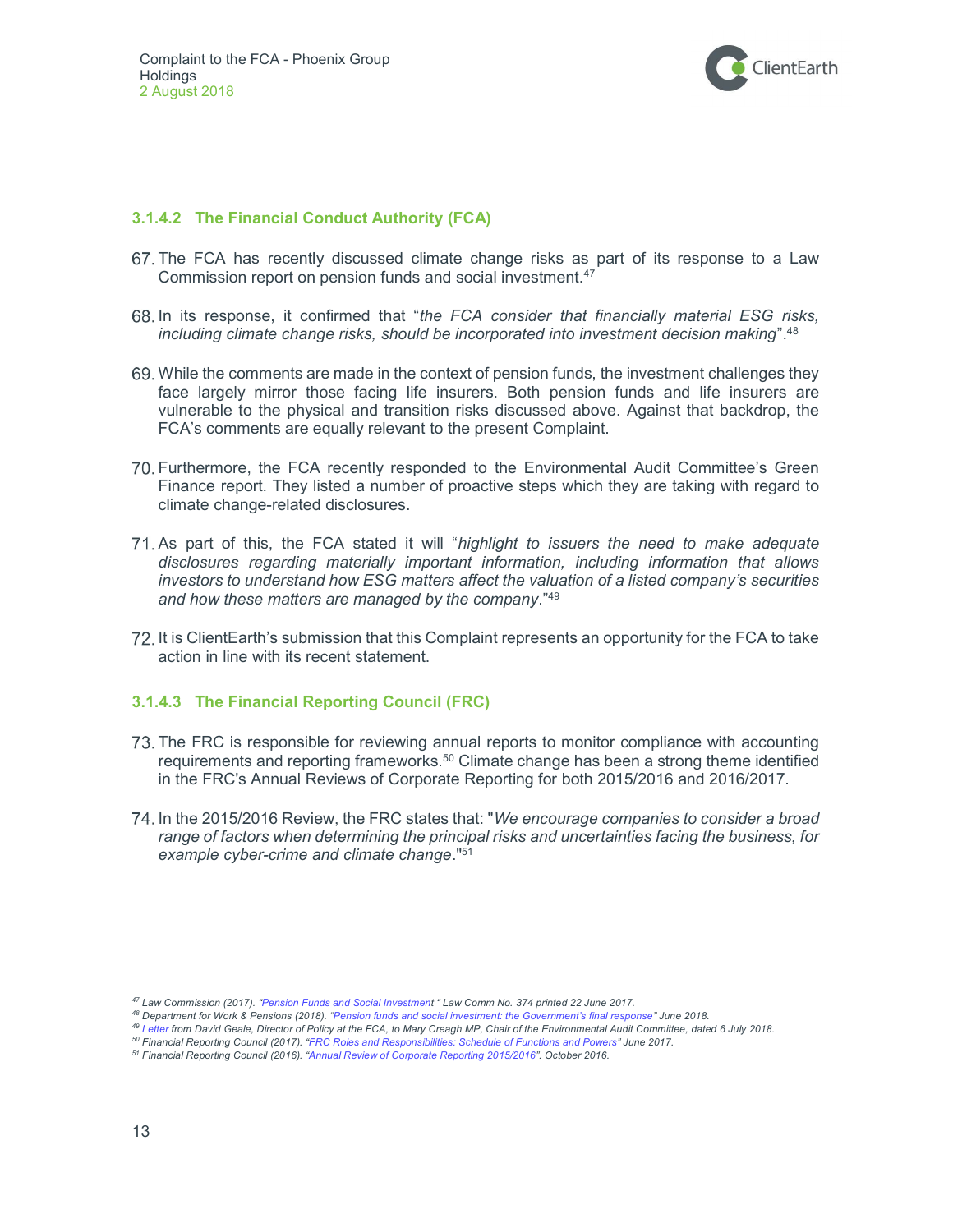

#### 3.1.4.2 The Financial Conduct Authority (FCA)

- The FCA has recently discussed climate change risks as part of its response to a Law Commission report on pension funds and social investment.<sup>47</sup>
- 68. In its response, it confirmed that "the FCA consider that financially material ESG risks, including climate change risks, should be incorporated into investment decision making". $48$
- While the comments are made in the context of pension funds, the investment challenges they face largely mirror those facing life insurers. Both pension funds and life insurers are vulnerable to the physical and transition risks discussed above. Against that backdrop, the FCA's comments are equally relevant to the present Complaint.
- Furthermore, the FCA recently responded to the Environmental Audit Committee's Green Finance report. They listed a number of proactive steps which they are taking with regard to climate change-related disclosures.
- 71. As part of this, the FCA stated it will "highlight to issuers the need to make adequate disclosures regarding materially important information, including information that allows investors to understand how ESG matters affect the valuation of a listed company's securities and how these matters are managed by the company."<sup>49</sup>
- It is ClientEarth's submission that this Complaint represents an opportunity for the FCA to take action in line with its recent statement.

#### 3.1.4.3 The Financial Reporting Council (FRC)

- The FRC is responsible for reviewing annual reports to monitor compliance with accounting requirements and reporting frameworks.<sup>50</sup> Climate change has been a strong theme identified in the FRC's Annual Reviews of Corporate Reporting for both 2015/2016 and 2016/2017.
- 74. In the 2015/2016 Review, the FRC states that: "We encourage companies to consider a broad range of factors when determining the principal risks and uncertainties facing the business, for example cyber-crime and climate change."<sup>51</sup>

<sup>47</sup> Law Commission (2017). "Pension Funds and Social Investment " Law Comm No. 374 printed 22 June 2017.

<sup>48</sup> Department for Work & Pensions (2018). "Pension funds and social investment: the Government's final response" June 2018.

<sup>&</sup>lt;sup>49</sup> Letter from David Geale, Director of Policy at the FCA, to Mary Creagh MP, Chair of the Environmental Audit Committee, dated 6 July 2018.

<sup>50</sup> Financial Reporting Council (2017). "FRC Roles and Responsibilities: Schedule of Functions and Powers" June 2017.

<sup>51</sup> Financial Reporting Council (2016). "Annual Review of Corporate Reporting 2015/2016". October 2016.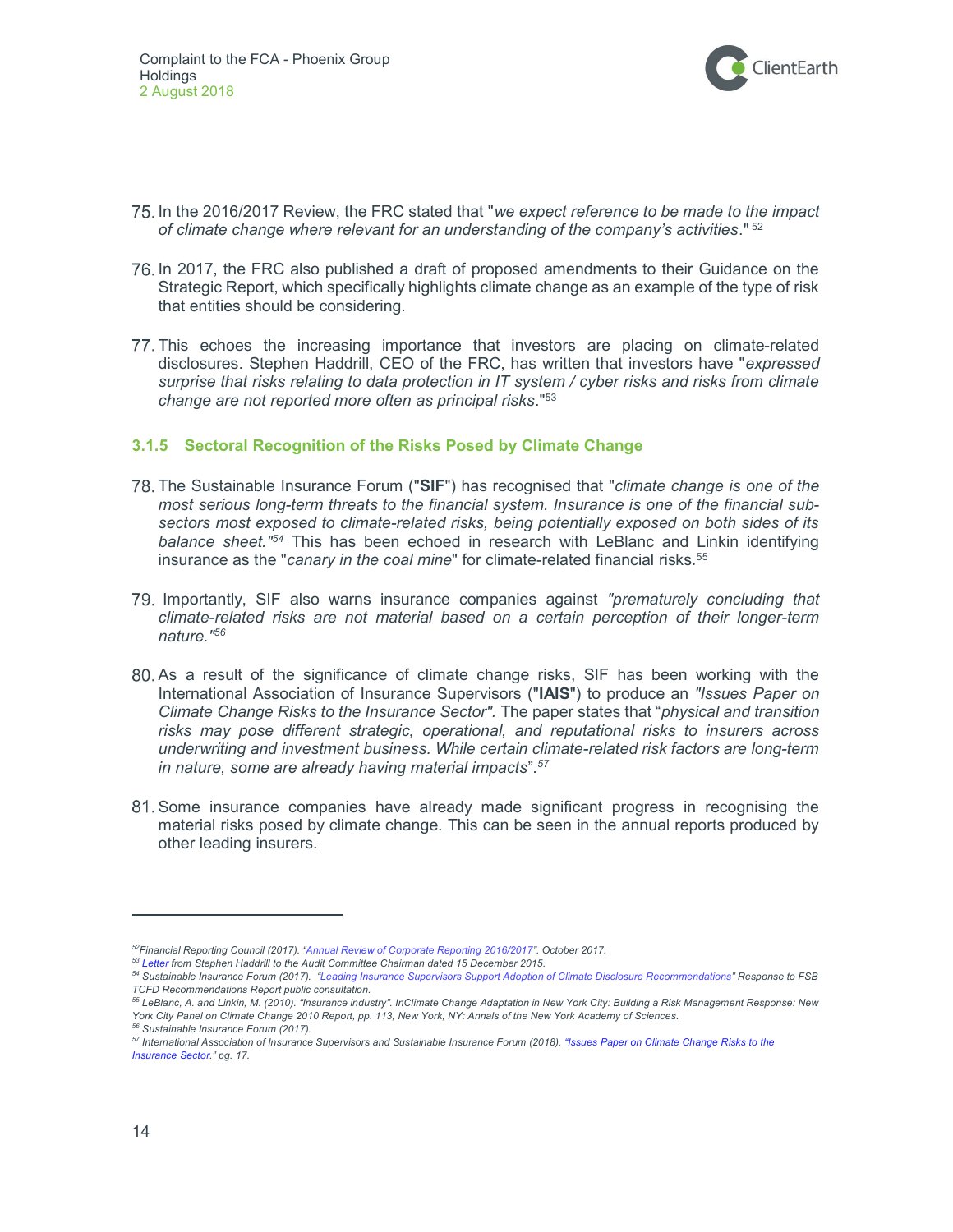

- 75. In the 2016/2017 Review, the FRC stated that "we expect reference to be made to the impact of climate change where relevant for an understanding of the company's activities."  $52$
- 76. In 2017, the FRC also published a draft of proposed amendments to their Guidance on the Strategic Report, which specifically highlights climate change as an example of the type of risk that entities should be considering.
- This echoes the increasing importance that investors are placing on climate-related disclosures. Stephen Haddrill, CEO of the FRC, has written that investors have "expressed surprise that risks relating to data protection in IT system / cyber risks and risks from climate change are not reported more often as principal risks."<sup>53</sup>

#### 3.1.5 Sectoral Recognition of the Risks Posed by Climate Change

- 78. The Sustainable Insurance Forum ("SIF") has recognised that "climate change is one of the most serious long-term threats to the financial system. Insurance is one of the financial subsectors most exposed to climate-related risks, being potentially exposed on both sides of its balance sheet.<sup>"54</sup> This has been echoed in research with LeBlanc and Linkin identifying insurance as the "canary in the coal mine" for climate-related financial risks.<sup>55</sup>
- 79. Importantly, SIF also warns insurance companies against "prematurely concluding that climate-related risks are not material based on a certain perception of their longer-term nature."<sup>56</sup>
- As a result of the significance of climate change risks, SIF has been working with the International Association of Insurance Supervisors ("IAIS") to produce an "Issues Paper on Climate Change Risks to the Insurance Sector". The paper states that "physical and transition risks may pose different strategic, operational, and reputational risks to insurers across underwriting and investment business. While certain climate-related risk factors are long-term in nature, some are already having material impacts".<sup>57</sup>
- Some insurance companies have already made significant progress in recognising the material risks posed by climate change. This can be seen in the annual reports produced by other leading insurers.

<sup>52</sup>Financial Reporting Council (2017). "Annual Review of Corporate Reporting 2016/2017". October 2017.

<sup>53</sup> Letter from Stephen Haddrill to the Audit Committee Chairman dated 15 December 2015.

<sup>54</sup> Sustainable Insurance Forum (2017). "Leading Insurance Supervisors Support Adoption of Climate Disclosure Recommendations" Response to FSB TCFD Recommendations Report public consultation.

<sup>55</sup> LeBlanc, A. and Linkin, M. (2010). "Insurance industry". InClimate Change Adaptation in New York City: Building a Risk Management Response: New York City Panel on Climate Change 2010 Report, pp. 113, New York, NY: Annals of the New York Academy of Sciences. <sup>56</sup> Sustainable Insurance Forum (2017).

<sup>57</sup> International Association of Insurance Supervisors and Sustainable Insurance Forum (2018). "Issues Paper on Climate Change Risks to the Insurance Sector." pg. 17.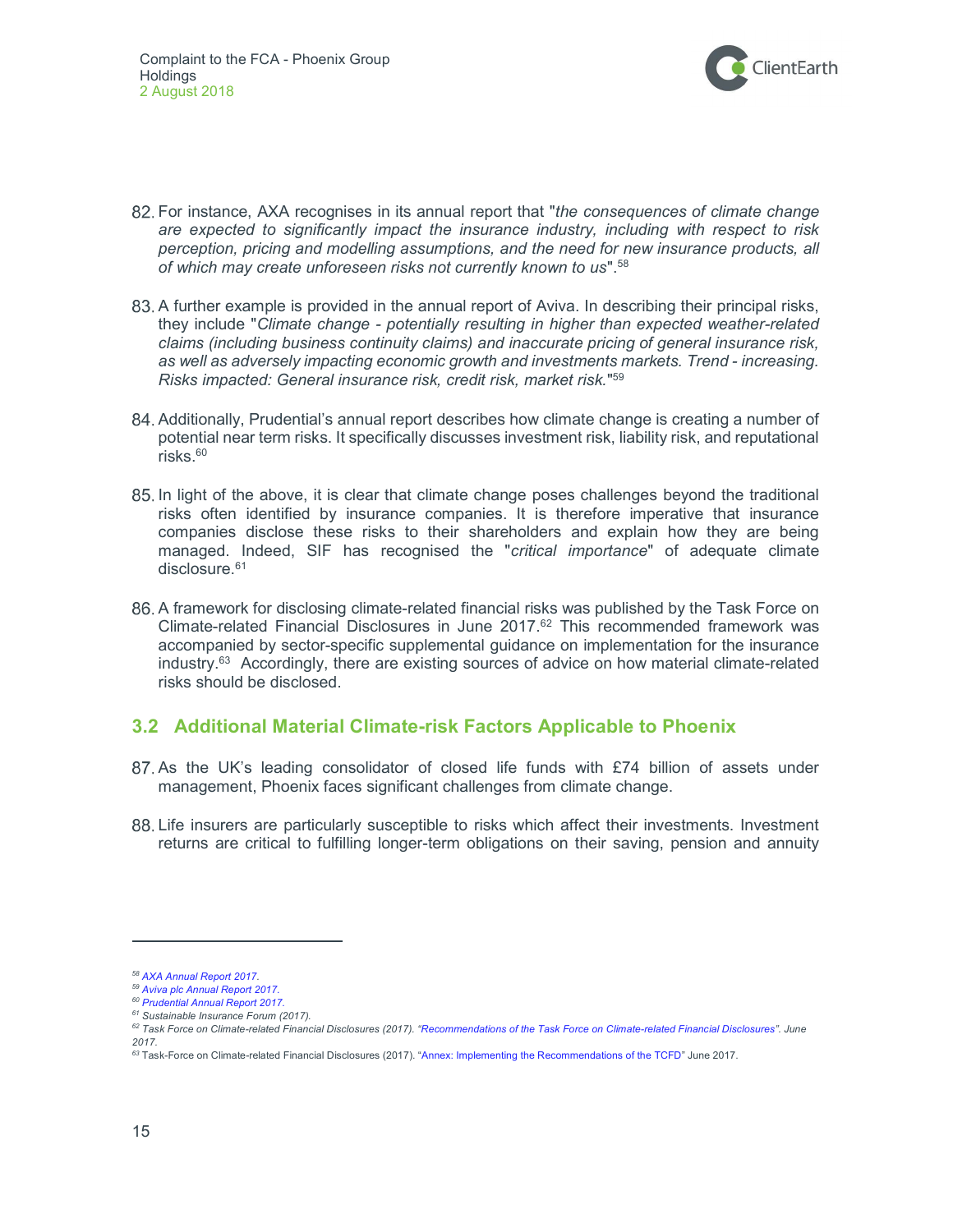

- 82. For instance, AXA recognises in its annual report that "the consequences of climate change are expected to significantly impact the insurance industry, including with respect to risk perception, pricing and modelling assumptions, and the need for new insurance products, all of which may create unforeseen risks not currently known to us".<sup>58</sup>
- 83. A further example is provided in the annual report of Aviva. In describing their principal risks, they include "Climate change - potentially resulting in higher than expected weather-related claims (including business continuity claims) and inaccurate pricing of general insurance risk, as well as adversely impacting economic growth and investments markets. Trend - increasing. Risks impacted: General insurance risk, credit risk, market risk." 59
- Additionally, Prudential's annual report describes how climate change is creating a number of potential near term risks. It specifically discusses investment risk, liability risk, and reputational risks.<sup>60</sup>
- 85. In light of the above, it is clear that climate change poses challenges beyond the traditional risks often identified by insurance companies. It is therefore imperative that insurance companies disclose these risks to their shareholders and explain how they are being managed. Indeed, SIF has recognised the "critical importance" of adequate climate disclosure.<sup>61</sup>
- A framework for disclosing climate-related financial risks was published by the Task Force on Climate-related Financial Disclosures in June  $2017<sup>62</sup>$  This recommended framework was accompanied by sector-specific supplemental guidance on implementation for the insurance industry.<sup>63</sup> Accordingly, there are existing sources of advice on how material climate-related risks should be disclosed.

### 3.2 Additional Material Climate-risk Factors Applicable to Phoenix

- As the UK's leading consolidator of closed life funds with £74 billion of assets under management, Phoenix faces significant challenges from climate change.
- Life insurers are particularly susceptible to risks which affect their investments. Investment returns are critical to fulfilling longer-term obligations on their saving, pension and annuity

<sup>58</sup> AXA Annual Report 2017.

<sup>59</sup> Aviva plc Annual Report 2017.

<sup>60</sup> Prudential Annual Report 2017.

<sup>&</sup>lt;sup>61</sup> Sustainable Insurance Forum (2017).

<sup>62</sup> Task Force on Climate-related Financial Disclosures (2017). "Recommendations of the Task Force on Climate-related Financial Disclosures". June 2017.

<sup>&</sup>lt;sup>63</sup> Task-Force on Climate-related Financial Disclosures (2017). "Annex: Implementing the Recommendations of the TCFD" June 2017.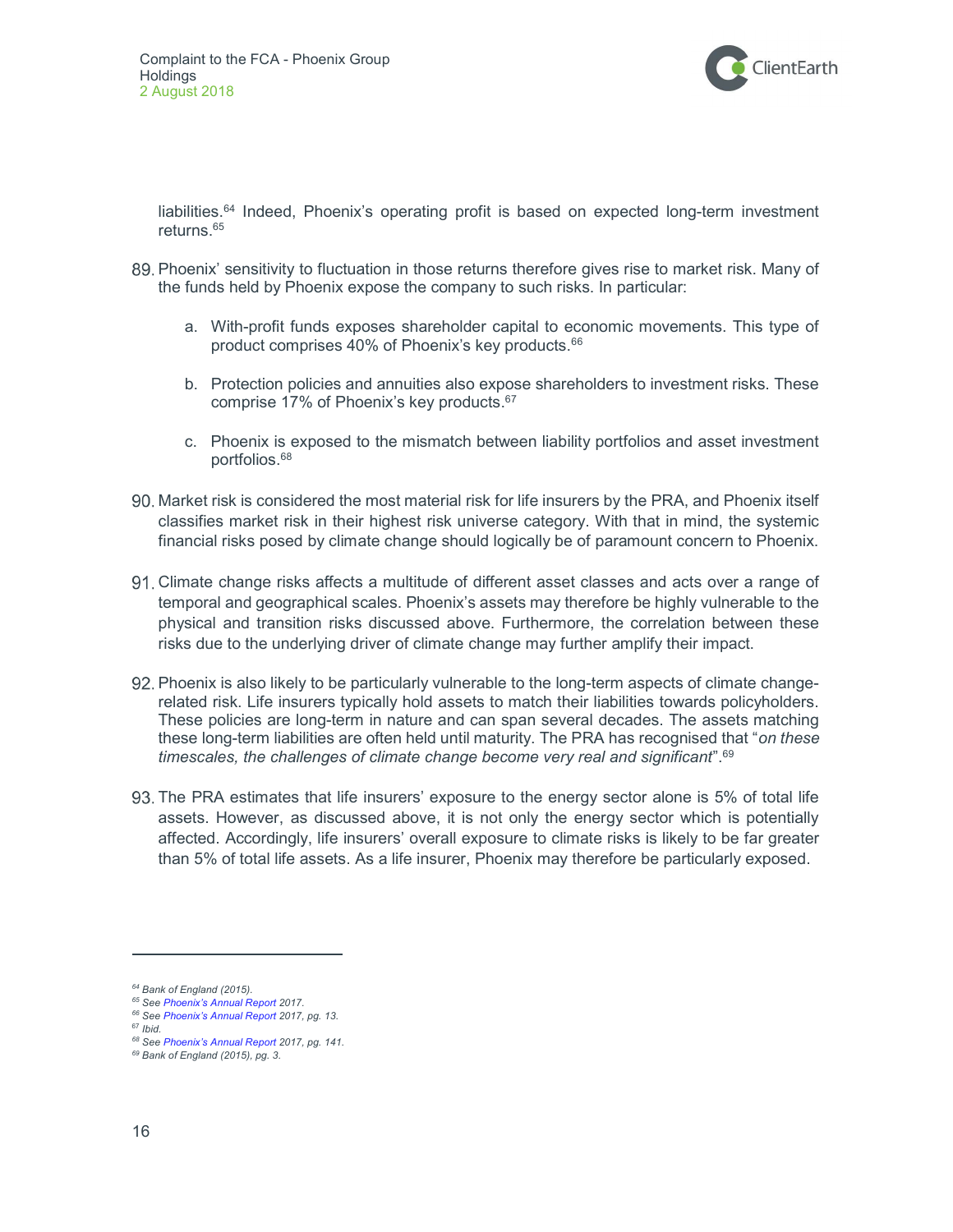

liabilities.<sup>64</sup> Indeed, Phoenix's operating profit is based on expected long-term investment returns.<sup>65</sup>

- 89. Phoenix' sensitivity to fluctuation in those returns therefore gives rise to market risk. Many of the funds held by Phoenix expose the company to such risks. In particular:
	- a. With-profit funds exposes shareholder capital to economic movements. This type of product comprises 40% of Phoenix's key products.<sup>66</sup>
	- b. Protection policies and annuities also expose shareholders to investment risks. These comprise 17% of Phoenix's key products.<sup>67</sup>
	- c. Phoenix is exposed to the mismatch between liability portfolios and asset investment portfolios.<sup>68</sup>
- Market risk is considered the most material risk for life insurers by the PRA, and Phoenix itself classifies market risk in their highest risk universe category. With that in mind, the systemic financial risks posed by climate change should logically be of paramount concern to Phoenix.
- Climate change risks affects a multitude of different asset classes and acts over a range of temporal and geographical scales. Phoenix's assets may therefore be highly vulnerable to the physical and transition risks discussed above. Furthermore, the correlation between these risks due to the underlying driver of climate change may further amplify their impact.
- 92. Phoenix is also likely to be particularly vulnerable to the long-term aspects of climate changerelated risk. Life insurers typically hold assets to match their liabilities towards policyholders. These policies are long-term in nature and can span several decades. The assets matching these long-term liabilities are often held until maturity. The PRA has recognised that "on these timescales, the challenges of climate change become very real and significant".<sup>69</sup>
- The PRA estimates that life insurers' exposure to the energy sector alone is 5% of total life assets. However, as discussed above, it is not only the energy sector which is potentially affected. Accordingly, life insurers' overall exposure to climate risks is likely to be far greater than 5% of total life assets. As a life insurer, Phoenix may therefore be particularly exposed.

<sup>&</sup>lt;sup>64</sup> Bank of England (2015).

<sup>&</sup>lt;sup>65</sup> See Phoenix's Annual Report 2017.

<sup>&</sup>lt;sup>66</sup> See Phoenix's Annual Report 2017, pg. 13.

 $67$  Ibid.

<sup>68</sup> See Phoenix's Annual Report 2017, pg. 141.

<sup>69</sup> Bank of England (2015), pg. 3.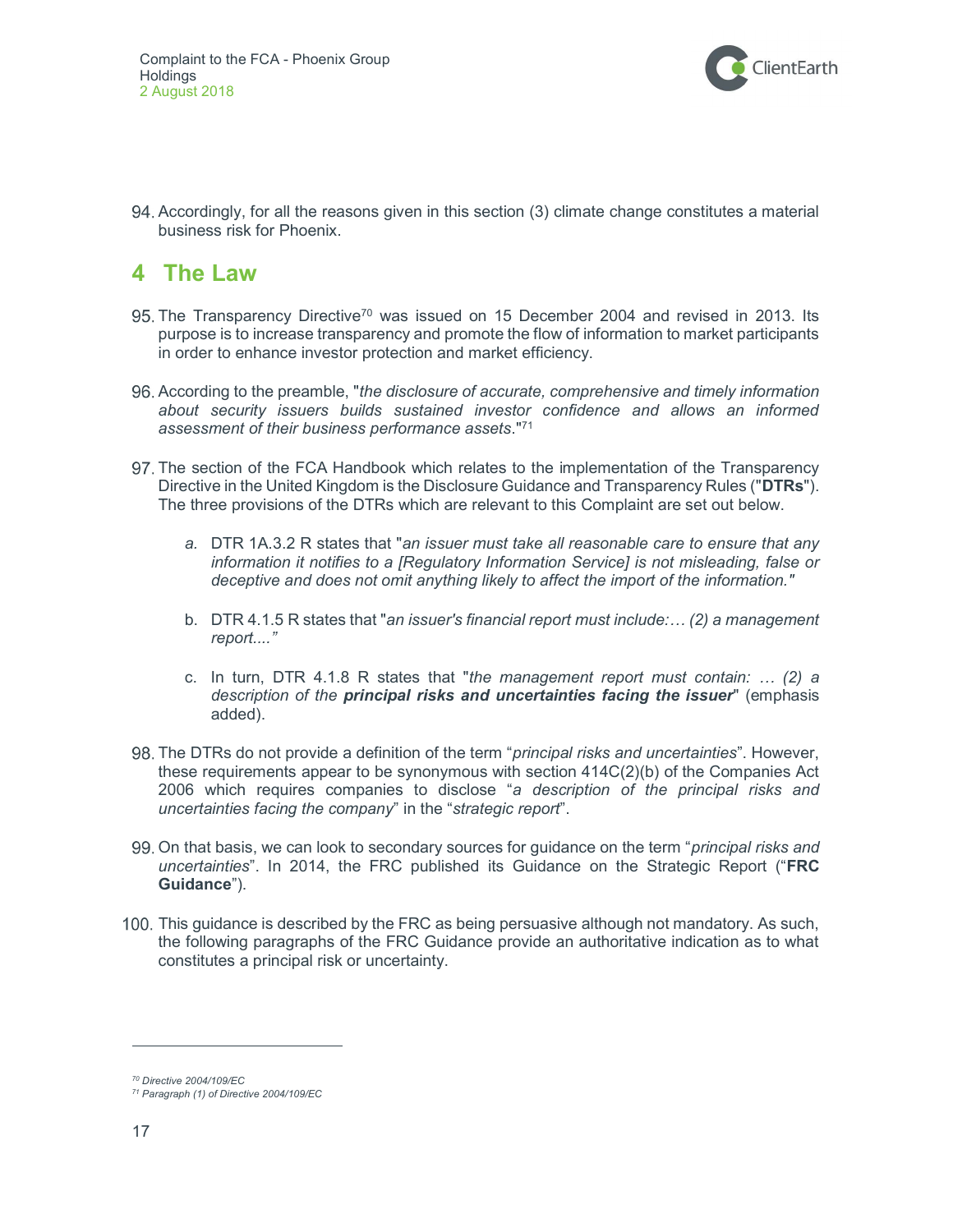

 Accordingly, for all the reasons given in this section (3) climate change constitutes a material business risk for Phoenix.

## 4 The Law

- 95. The Transparency Directive<sup>70</sup> was issued on 15 December 2004 and revised in 2013. Its purpose is to increase transparency and promote the flow of information to market participants in order to enhance investor protection and market efficiency.
- 96. According to the preamble, "the disclosure of accurate, comprehensive and timely information about security issuers builds sustained investor confidence and allows an informed assessment of their business performance assets."<sup>71</sup>
- The section of the FCA Handbook which relates to the implementation of the Transparency Directive in the United Kingdom is the Disclosure Guidance and Transparency Rules ("DTRs"). The three provisions of the DTRs which are relevant to this Complaint are set out below.
	- a. DTR 1A.3.2 R states that "an issuer must take all reasonable care to ensure that any information it notifies to a [Regulatory Information Service] is not misleading, false or deceptive and does not omit anything likely to affect the import of the information."
	- b. DTR 4.1.5 R states that "an issuer's financial report must include:... (2) a management report...."
	- c. In turn, DTR 4.1.8 R states that "the management report must contain:  $\ldots$  (2) a description of the principal risks and uncertainties facing the issuer" (emphasis added).
- 98. The DTRs do not provide a definition of the term "*principal risks and uncertainties*". However, these requirements appear to be synonymous with section 414C(2)(b) of the Companies Act 2006 which requires companies to disclose "a description of the principal risks and uncertainties facing the company" in the "strategic report".
- 99. On that basis, we can look to secondary sources for guidance on the term "principal risks and uncertainties". In 2014, the FRC published its Guidance on the Strategic Report ("FRC Guidance").
- 100. This guidance is described by the FRC as being persuasive although not mandatory. As such, the following paragraphs of the FRC Guidance provide an authoritative indication as to what constitutes a principal risk or uncertainty.

<sup>70</sup> Directive 2004/109/EC

<sup>71</sup> Paragraph (1) of Directive 2004/109/EC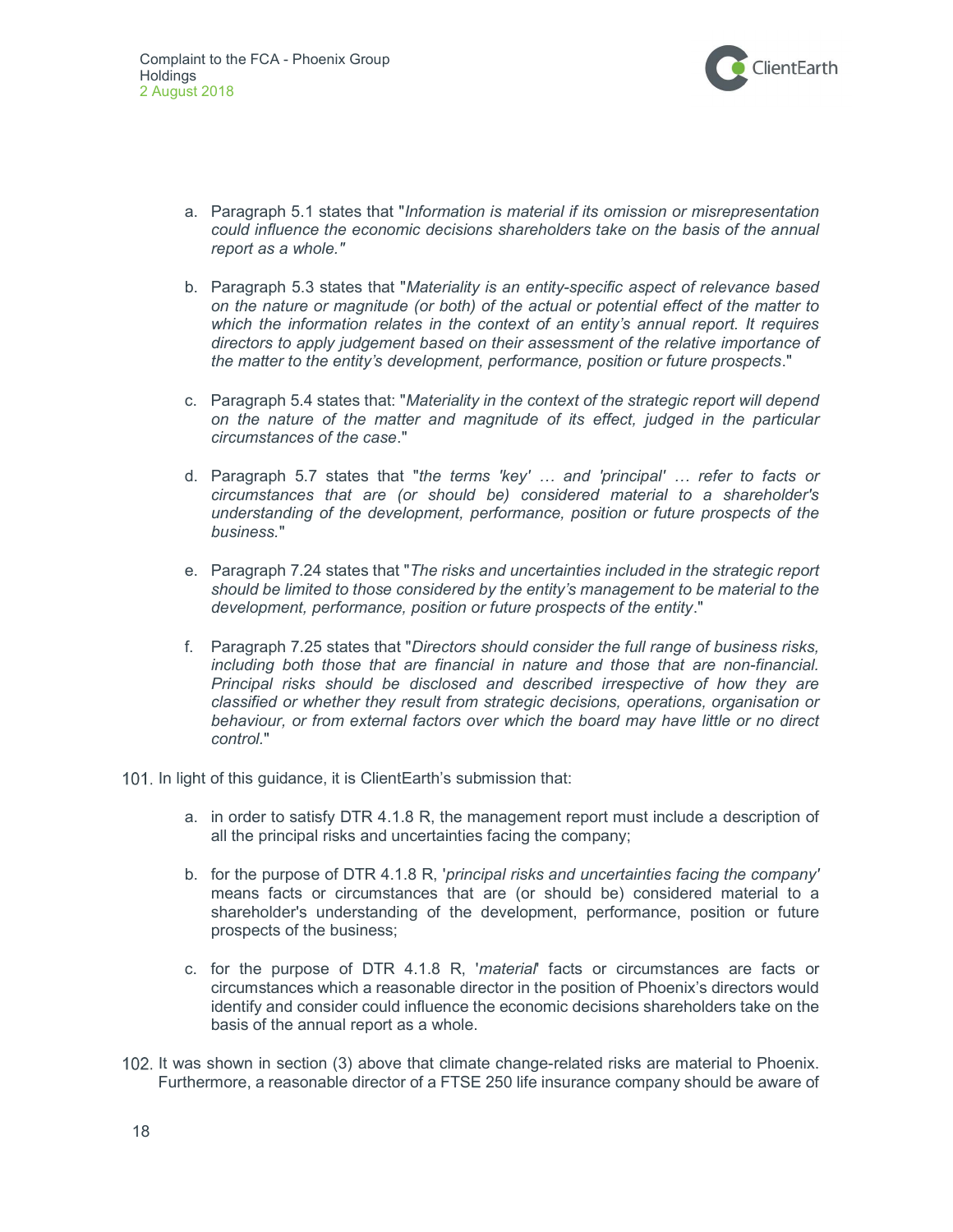

- a. Paragraph 5.1 states that "Information is material if its omission or misrepresentation could influence the economic decisions shareholders take on the basis of the annual report as a whole."
- b. Paragraph 5.3 states that "Materiality is an entity-specific aspect of relevance based on the nature or magnitude (or both) of the actual or potential effect of the matter to which the information relates in the context of an entity's annual report. It requires directors to apply judgement based on their assessment of the relative importance of the matter to the entity's development, performance, position or future prospects."
- c. Paragraph 5.4 states that: "Materiality in the context of the strategic report will depend on the nature of the matter and magnitude of its effect, judged in the particular circumstances of the case."
- d. Paragraph 5.7 states that "the terms 'key' … and 'principal' … refer to facts or circumstances that are (or should be) considered material to a shareholder's understanding of the development, performance, position or future prospects of the business."
- e. Paragraph 7.24 states that "The risks and uncertainties included in the strategic report should be limited to those considered by the entity's management to be material to the development, performance, position or future prospects of the entity."
- f. Paragraph 7.25 states that "Directors should consider the full range of business risks, including both those that are financial in nature and those that are non-financial. Principal risks should be disclosed and described irrespective of how they are classified or whether they result from strategic decisions, operations, organisation or behaviour, or from external factors over which the board may have little or no direct control."
- 101. In light of this guidance, it is ClientEarth's submission that:
	- a. in order to satisfy DTR 4.1.8 R, the management report must include a description of all the principal risks and uncertainties facing the company;
	- b. for the purpose of DTR 4.1.8 R, 'principal risks and uncertainties facing the company' means facts or circumstances that are (or should be) considered material to a shareholder's understanding of the development, performance, position or future prospects of the business;
	- c. for the purpose of DTR 4.1.8 R, 'material' facts or circumstances are facts or circumstances which a reasonable director in the position of Phoenix's directors would identify and consider could influence the economic decisions shareholders take on the basis of the annual report as a whole.
- 102. It was shown in section (3) above that climate change-related risks are material to Phoenix. Furthermore, a reasonable director of a FTSE 250 life insurance company should be aware of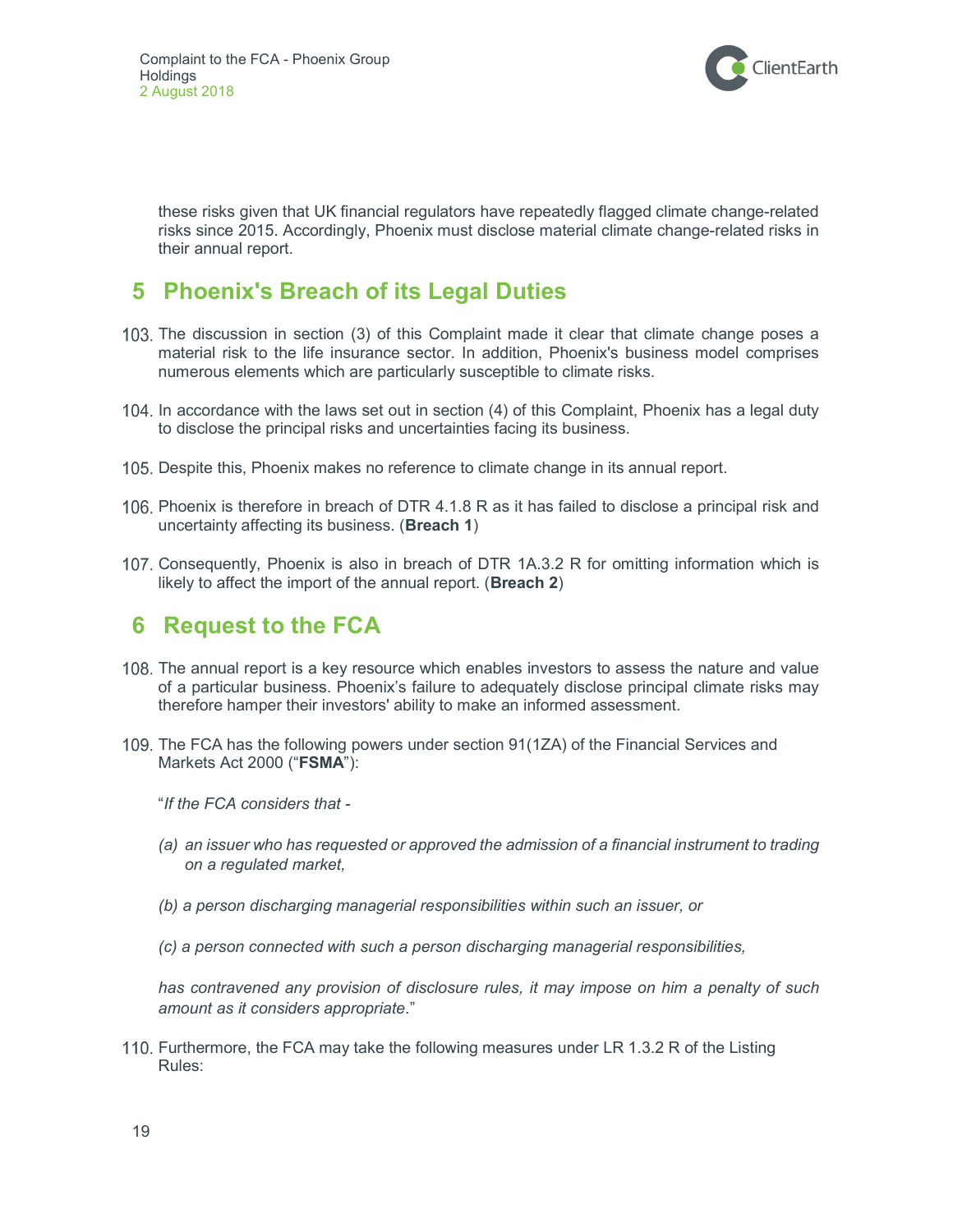

these risks given that UK financial regulators have repeatedly flagged climate change-related risks since 2015. Accordingly, Phoenix must disclose material climate change-related risks in their annual report.

# 5 Phoenix's Breach of its Legal Duties

- 103. The discussion in section (3) of this Complaint made it clear that climate change poses a material risk to the life insurance sector. In addition, Phoenix's business model comprises numerous elements which are particularly susceptible to climate risks.
- 104. In accordance with the laws set out in section (4) of this Complaint, Phoenix has a legal duty to disclose the principal risks and uncertainties facing its business.
- 105. Despite this, Phoenix makes no reference to climate change in its annual report.
- 106. Phoenix is therefore in breach of DTR 4.1.8 R as it has failed to disclose a principal risk and uncertainty affecting its business. (Breach 1)
- 107. Consequently, Phoenix is also in breach of DTR 1A.3.2 R for omitting information which is likely to affect the import of the annual report. (Breach 2)

## 6 Request to the FCA

- 108. The annual report is a key resource which enables investors to assess the nature and value of a particular business. Phoenix's failure to adequately disclose principal climate risks may therefore hamper their investors' ability to make an informed assessment.
- 109. The FCA has the following powers under section 91(1ZA) of the Financial Services and Markets Act 2000 ("FSMA"):

"If the FCA considers that -

- (a) an issuer who has requested or approved the admission of a financial instrument to trading on a regulated market,
- (b) a person discharging managerial responsibilities within such an issuer, or
- (c) a person connected with such a person discharging managerial responsibilities,

has contravened any provision of disclosure rules, it may impose on him a penalty of such amount as it considers appropriate."

110. Furthermore, the FCA may take the following measures under LR 1.3.2 R of the Listing Rules: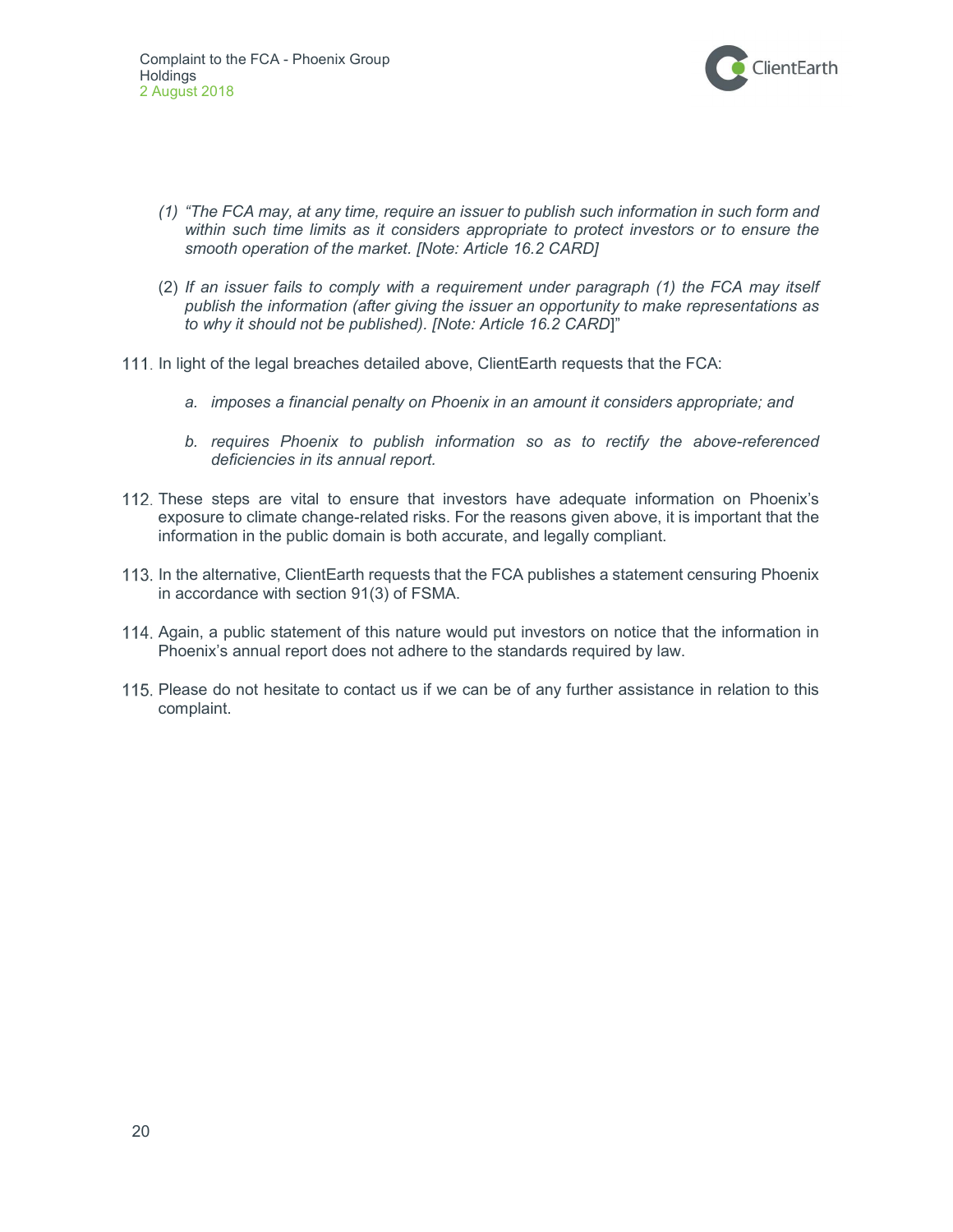

- (1) "The FCA may, at any time, require an issuer to publish such information in such form and within such time limits as it considers appropriate to protect investors or to ensure the smooth operation of the market. [Note: Article 16.2 CARD]
- (2) If an issuer fails to comply with a requirement under paragraph (1) the FCA may itself publish the information (after giving the issuer an opportunity to make representations as to why it should not be published). [Note: Article 16.2 CARD]"
- 111. In light of the legal breaches detailed above, ClientEarth requests that the FCA:
	- a. imposes a financial penalty on Phoenix in an amount it considers appropriate; and
	- b. requires Phoenix to publish information so as to rectify the above-referenced deficiencies in its annual report.
- 112. These steps are vital to ensure that investors have adequate information on Phoenix's exposure to climate change-related risks. For the reasons given above, it is important that the information in the public domain is both accurate, and legally compliant.
- 113. In the alternative, ClientEarth requests that the FCA publishes a statement censuring Phoenix in accordance with section 91(3) of FSMA.
- 114. Again, a public statement of this nature would put investors on notice that the information in Phoenix's annual report does not adhere to the standards required by law.
- 115. Please do not hesitate to contact us if we can be of any further assistance in relation to this complaint.